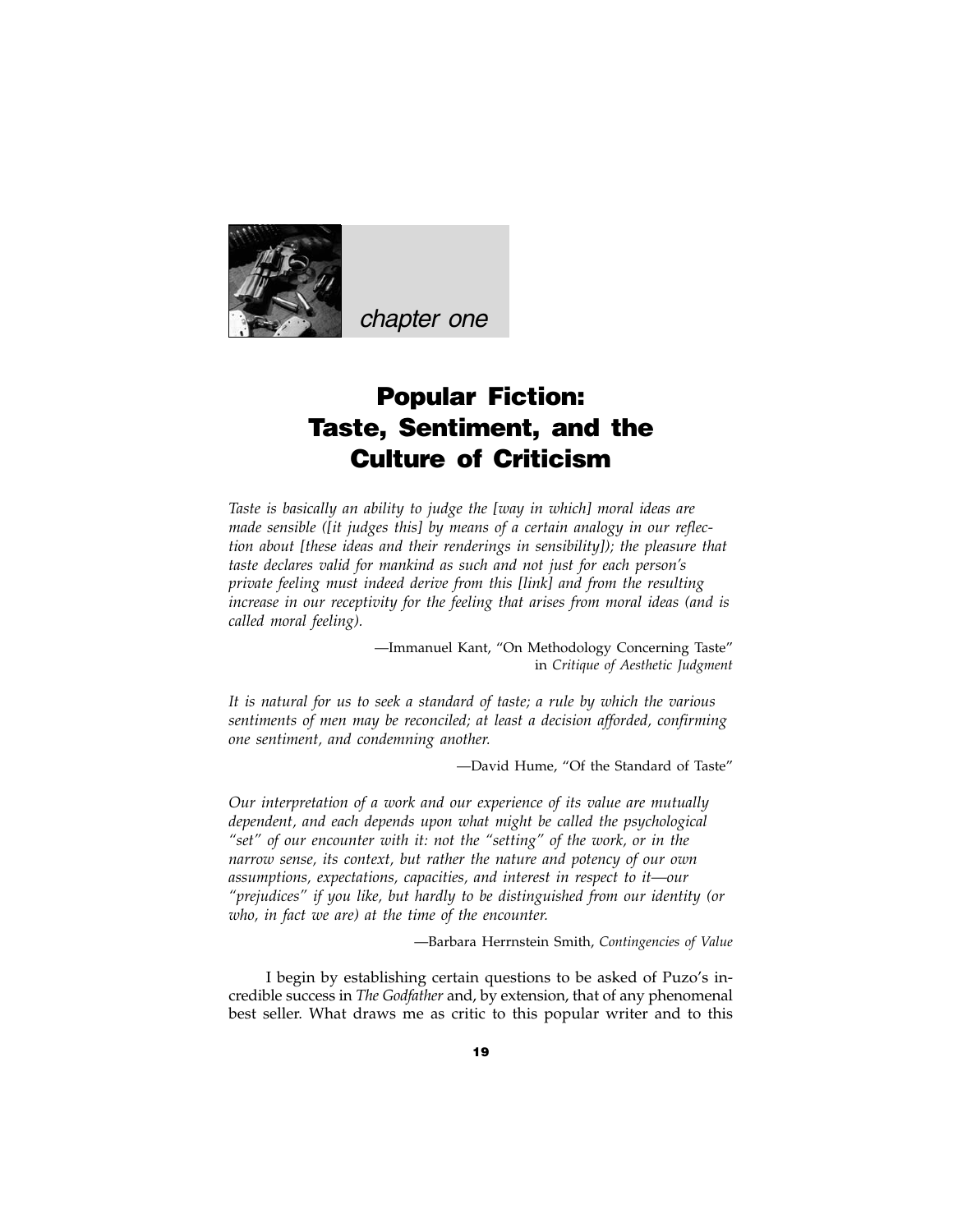

chapter one

## **Popular Fiction: Taste, Sentiment, and the Culture of Criticism**

*Taste is basically an ability to judge the [way in which] moral ideas are made sensible ([it judges this] by means of a certain analogy in our reflection about [these ideas and their renderings in sensibility]); the pleasure that taste declares valid for mankind as such and not just for each person's private feeling must indeed derive from this [link] and from the resulting increase in our receptivity for the feeling that arises from moral ideas (and is called moral feeling).*

> —Immanuel Kant, "On Methodology Concerning Taste" in *Critique of Aesthetic Judgment*

*It is natural for us to seek a standard of taste; a rule by which the various sentiments of men may be reconciled; at least a decision afforded, confirming one sentiment, and condemning another.*

—David Hume, "Of the Standard of Taste"

*Our interpretation of a work and our experience of its value are mutually dependent, and each depends upon what might be called the psychological "set" of our encounter with it: not the "setting" of the work, or in the narrow sense, its context, but rather the nature and potency of our own assumptions, expectations, capacities, and interest in respect to it—our "prejudices" if you like, but hardly to be distinguished from our identity (or who, in fact we are) at the time of the encounter.*

—Barbara Herrnstein Smith, *Contingencies of Value*

I begin by establishing certain questions to be asked of Puzo's incredible success in *The Godfather* and, by extension, that of any phenomenal best seller. What draws me as critic to this popular writer and to this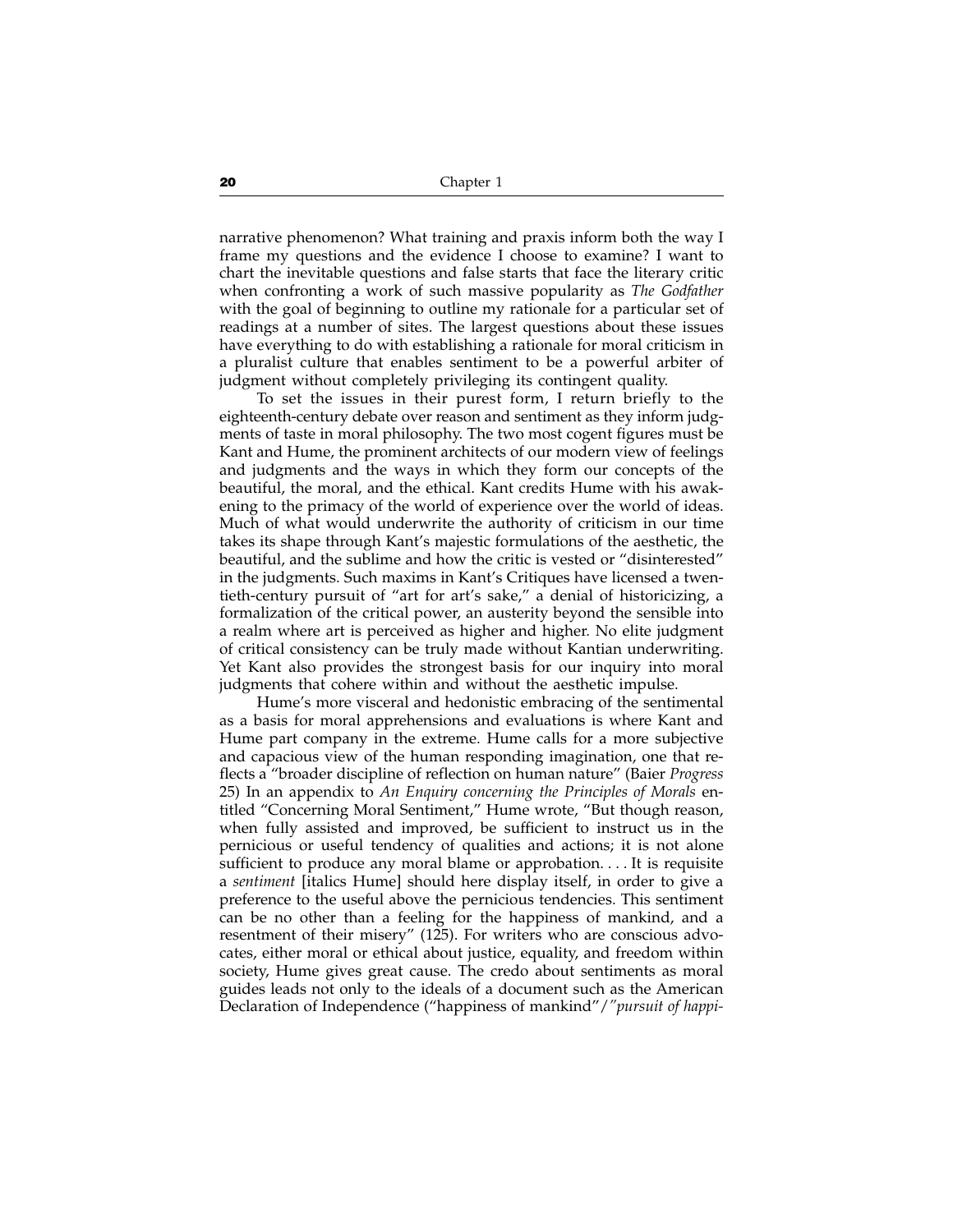narrative phenomenon? What training and praxis inform both the way I frame my questions and the evidence I choose to examine? I want to chart the inevitable questions and false starts that face the literary critic when confronting a work of such massive popularity as *The Godfather* with the goal of beginning to outline my rationale for a particular set of readings at a number of sites. The largest questions about these issues have everything to do with establishing a rationale for moral criticism in a pluralist culture that enables sentiment to be a powerful arbiter of judgment without completely privileging its contingent quality.

To set the issues in their purest form, I return briefly to the eighteenth-century debate over reason and sentiment as they inform judgments of taste in moral philosophy. The two most cogent figures must be Kant and Hume, the prominent architects of our modern view of feelings and judgments and the ways in which they form our concepts of the beautiful, the moral, and the ethical. Kant credits Hume with his awakening to the primacy of the world of experience over the world of ideas. Much of what would underwrite the authority of criticism in our time takes its shape through Kant's majestic formulations of the aesthetic, the beautiful, and the sublime and how the critic is vested or "disinterested" in the judgments. Such maxims in Kant's Critiques have licensed a twentieth-century pursuit of "art for art's sake," a denial of historicizing, a formalization of the critical power, an austerity beyond the sensible into a realm where art is perceived as higher and higher. No elite judgment of critical consistency can be truly made without Kantian underwriting. Yet Kant also provides the strongest basis for our inquiry into moral judgments that cohere within and without the aesthetic impulse.

Hume's more visceral and hedonistic embracing of the sentimental as a basis for moral apprehensions and evaluations is where Kant and Hume part company in the extreme. Hume calls for a more subjective and capacious view of the human responding imagination, one that reflects a "broader discipline of reflection on human nature" (Baier *Progress* 25) In an appendix to *An Enquiry concerning the Principles of Morals* entitled "Concerning Moral Sentiment," Hume wrote, "But though reason, when fully assisted and improved, be sufficient to instruct us in the pernicious or useful tendency of qualities and actions; it is not alone sufficient to produce any moral blame or approbation. . . . It is requisite a *sentiment* [italics Hume] should here display itself, in order to give a preference to the useful above the pernicious tendencies. This sentiment can be no other than a feeling for the happiness of mankind, and a resentment of their misery" (125). For writers who are conscious advocates, either moral or ethical about justice, equality, and freedom within society, Hume gives great cause. The credo about sentiments as moral guides leads not only to the ideals of a document such as the American Declaration of Independence ("happiness of mankind"/*"pursuit of happi-*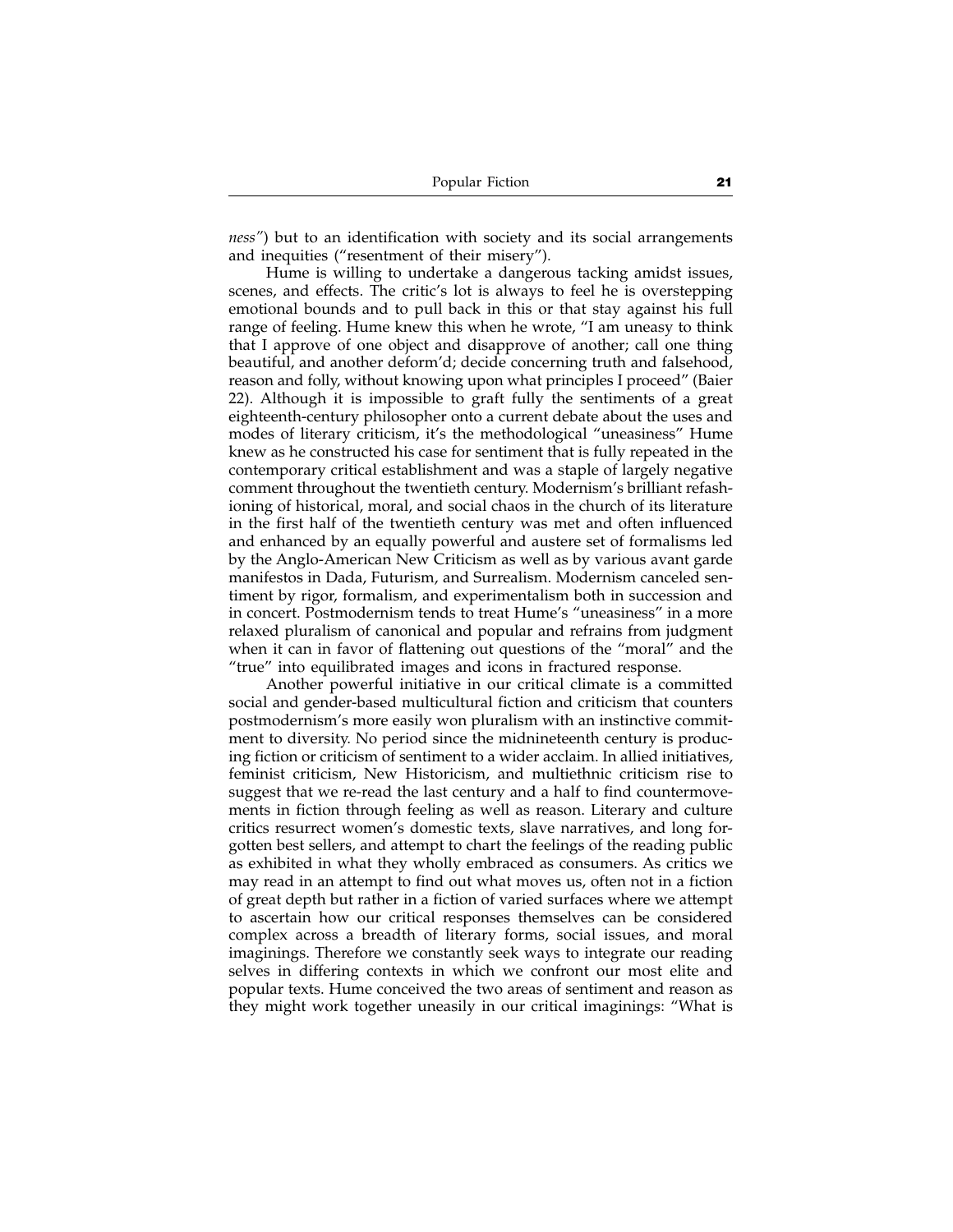*ness"*) but to an identification with society and its social arrangements and inequities ("resentment of their misery").

Hume is willing to undertake a dangerous tacking amidst issues, scenes, and effects. The critic's lot is always to feel he is overstepping emotional bounds and to pull back in this or that stay against his full range of feeling. Hume knew this when he wrote, "I am uneasy to think that I approve of one object and disapprove of another; call one thing beautiful, and another deform'd; decide concerning truth and falsehood, reason and folly, without knowing upon what principles I proceed" (Baier 22). Although it is impossible to graft fully the sentiments of a great eighteenth-century philosopher onto a current debate about the uses and modes of literary criticism, it's the methodological "uneasiness" Hume knew as he constructed his case for sentiment that is fully repeated in the contemporary critical establishment and was a staple of largely negative comment throughout the twentieth century. Modernism's brilliant refashioning of historical, moral, and social chaos in the church of its literature in the first half of the twentieth century was met and often influenced and enhanced by an equally powerful and austere set of formalisms led by the Anglo-American New Criticism as well as by various avant garde manifestos in Dada, Futurism, and Surrealism. Modernism canceled sentiment by rigor, formalism, and experimentalism both in succession and in concert. Postmodernism tends to treat Hume's "uneasiness" in a more relaxed pluralism of canonical and popular and refrains from judgment when it can in favor of flattening out questions of the "moral" and the "true" into equilibrated images and icons in fractured response.

Another powerful initiative in our critical climate is a committed social and gender-based multicultural fiction and criticism that counters postmodernism's more easily won pluralism with an instinctive commitment to diversity. No period since the midnineteenth century is producing fiction or criticism of sentiment to a wider acclaim. In allied initiatives, feminist criticism, New Historicism, and multiethnic criticism rise to suggest that we re-read the last century and a half to find countermovements in fiction through feeling as well as reason. Literary and culture critics resurrect women's domestic texts, slave narratives, and long forgotten best sellers, and attempt to chart the feelings of the reading public as exhibited in what they wholly embraced as consumers. As critics we may read in an attempt to find out what moves us, often not in a fiction of great depth but rather in a fiction of varied surfaces where we attempt to ascertain how our critical responses themselves can be considered complex across a breadth of literary forms, social issues, and moral imaginings. Therefore we constantly seek ways to integrate our reading selves in differing contexts in which we confront our most elite and popular texts. Hume conceived the two areas of sentiment and reason as they might work together uneasily in our critical imaginings: "What is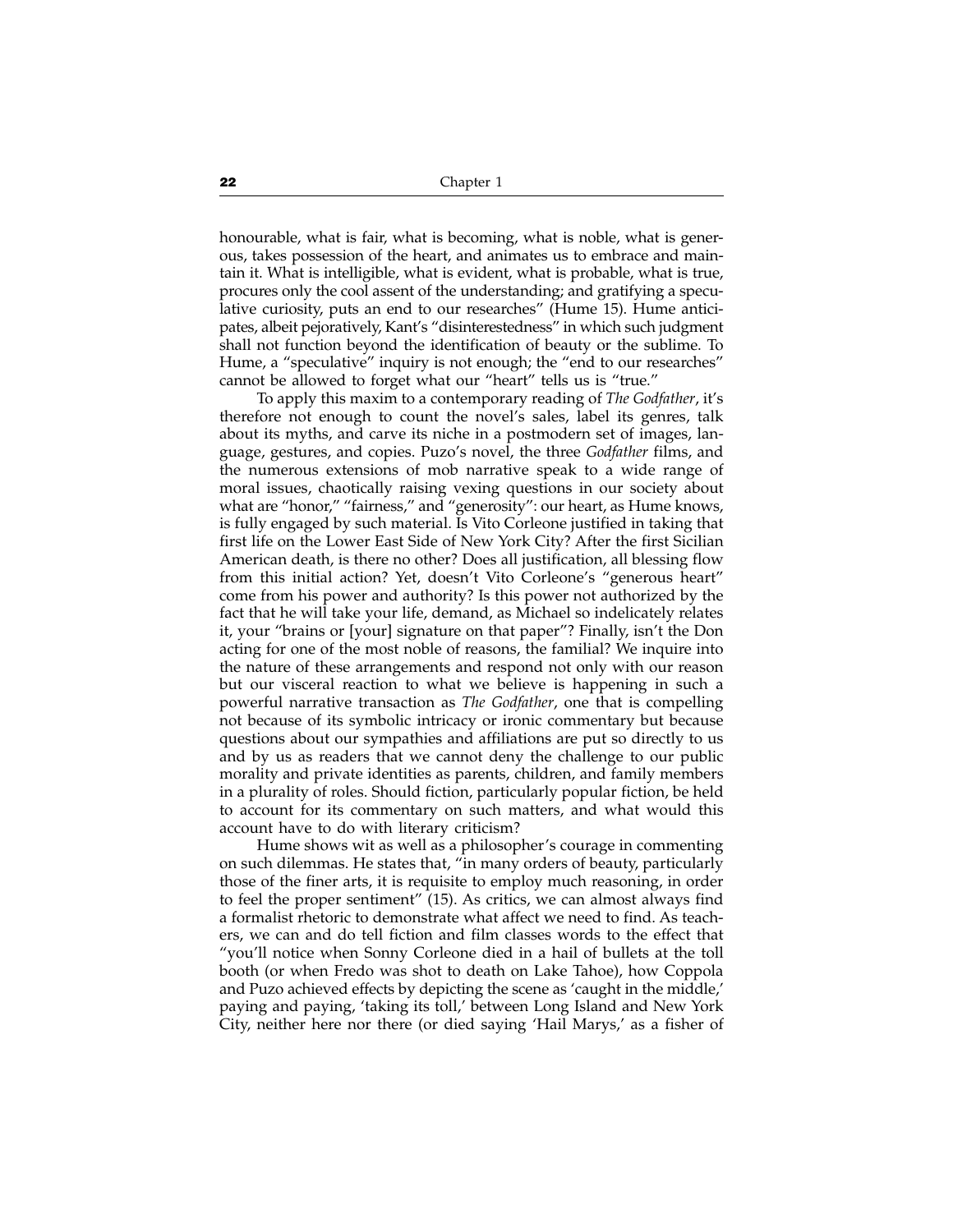honourable, what is fair, what is becoming, what is noble, what is generous, takes possession of the heart, and animates us to embrace and maintain it. What is intelligible, what is evident, what is probable, what is true, procures only the cool assent of the understanding; and gratifying a speculative curiosity, puts an end to our researches" (Hume 15). Hume anticipates, albeit pejoratively, Kant's "disinterestedness" in which such judgment shall not function beyond the identification of beauty or the sublime. To Hume, a "speculative" inquiry is not enough; the "end to our researches" cannot be allowed to forget what our "heart" tells us is "true."

To apply this maxim to a contemporary reading of *The Godfather*, it's therefore not enough to count the novel's sales, label its genres, talk about its myths, and carve its niche in a postmodern set of images, language, gestures, and copies. Puzo's novel, the three *Godfather* films, and the numerous extensions of mob narrative speak to a wide range of moral issues, chaotically raising vexing questions in our society about what are "honor," "fairness," and "generosity": our heart, as Hume knows, is fully engaged by such material. Is Vito Corleone justified in taking that first life on the Lower East Side of New York City? After the first Sicilian American death, is there no other? Does all justification, all blessing flow from this initial action? Yet, doesn't Vito Corleone's "generous heart" come from his power and authority? Is this power not authorized by the fact that he will take your life, demand, as Michael so indelicately relates it, your "brains or [your] signature on that paper"? Finally, isn't the Don acting for one of the most noble of reasons, the familial? We inquire into the nature of these arrangements and respond not only with our reason but our visceral reaction to what we believe is happening in such a powerful narrative transaction as *The Godfather*, one that is compelling not because of its symbolic intricacy or ironic commentary but because questions about our sympathies and affiliations are put so directly to us and by us as readers that we cannot deny the challenge to our public morality and private identities as parents, children, and family members in a plurality of roles. Should fiction, particularly popular fiction, be held to account for its commentary on such matters, and what would this account have to do with literary criticism?

Hume shows wit as well as a philosopher's courage in commenting on such dilemmas. He states that, "in many orders of beauty, particularly those of the finer arts, it is requisite to employ much reasoning, in order to feel the proper sentiment" (15). As critics, we can almost always find a formalist rhetoric to demonstrate what affect we need to find. As teachers, we can and do tell fiction and film classes words to the effect that "you'll notice when Sonny Corleone died in a hail of bullets at the toll booth (or when Fredo was shot to death on Lake Tahoe), how Coppola and Puzo achieved effects by depicting the scene as 'caught in the middle,' paying and paying, 'taking its toll,' between Long Island and New York City, neither here nor there (or died saying 'Hail Marys,' as a fisher of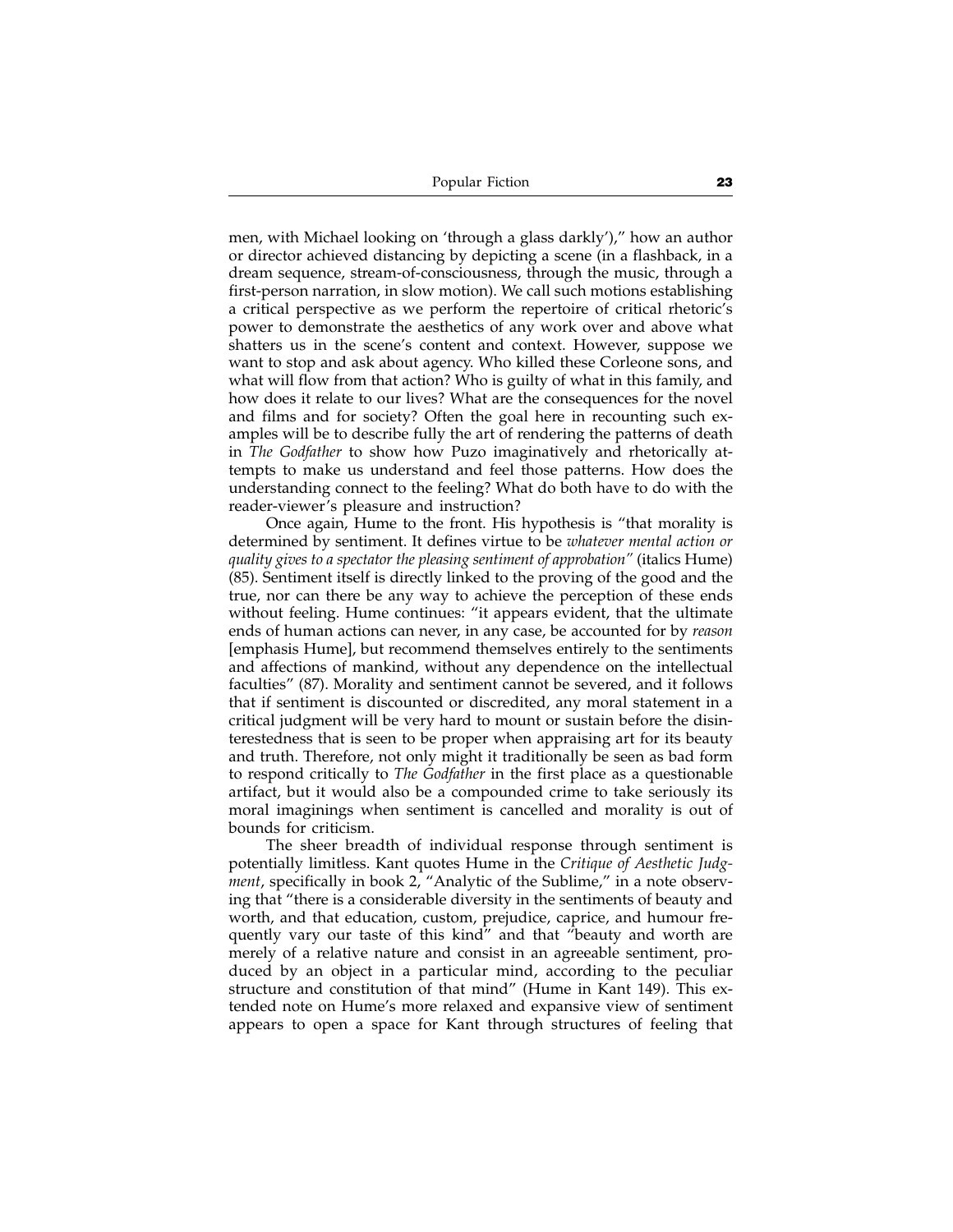men, with Michael looking on 'through a glass darkly')," how an author or director achieved distancing by depicting a scene (in a flashback, in a dream sequence, stream-of-consciousness, through the music, through a first-person narration, in slow motion). We call such motions establishing a critical perspective as we perform the repertoire of critical rhetoric's power to demonstrate the aesthetics of any work over and above what shatters us in the scene's content and context. However, suppose we want to stop and ask about agency. Who killed these Corleone sons, and what will flow from that action? Who is guilty of what in this family, and how does it relate to our lives? What are the consequences for the novel and films and for society? Often the goal here in recounting such examples will be to describe fully the art of rendering the patterns of death in *The Godfather* to show how Puzo imaginatively and rhetorically attempts to make us understand and feel those patterns. How does the understanding connect to the feeling? What do both have to do with the reader-viewer's pleasure and instruction?

Once again, Hume to the front. His hypothesis is "that morality is determined by sentiment. It defines virtue to be *whatever mental action or quality gives to a spectator the pleasing sentiment of approbation"* (italics Hume) (85). Sentiment itself is directly linked to the proving of the good and the true, nor can there be any way to achieve the perception of these ends without feeling. Hume continues: "it appears evident, that the ultimate ends of human actions can never, in any case, be accounted for by *reason* [emphasis Hume], but recommend themselves entirely to the sentiments and affections of mankind, without any dependence on the intellectual faculties" (87). Morality and sentiment cannot be severed, and it follows that if sentiment is discounted or discredited, any moral statement in a critical judgment will be very hard to mount or sustain before the disinterestedness that is seen to be proper when appraising art for its beauty and truth. Therefore, not only might it traditionally be seen as bad form to respond critically to *The Godfather* in the first place as a questionable artifact, but it would also be a compounded crime to take seriously its moral imaginings when sentiment is cancelled and morality is out of bounds for criticism.

The sheer breadth of individual response through sentiment is potentially limitless. Kant quotes Hume in the *Critique of Aesthetic Judgment*, specifically in book 2, "Analytic of the Sublime," in a note observing that "there is a considerable diversity in the sentiments of beauty and worth, and that education, custom, prejudice, caprice, and humour frequently vary our taste of this kind" and that "beauty and worth are merely of a relative nature and consist in an agreeable sentiment, produced by an object in a particular mind, according to the peculiar structure and constitution of that mind" (Hume in Kant 149). This extended note on Hume's more relaxed and expansive view of sentiment appears to open a space for Kant through structures of feeling that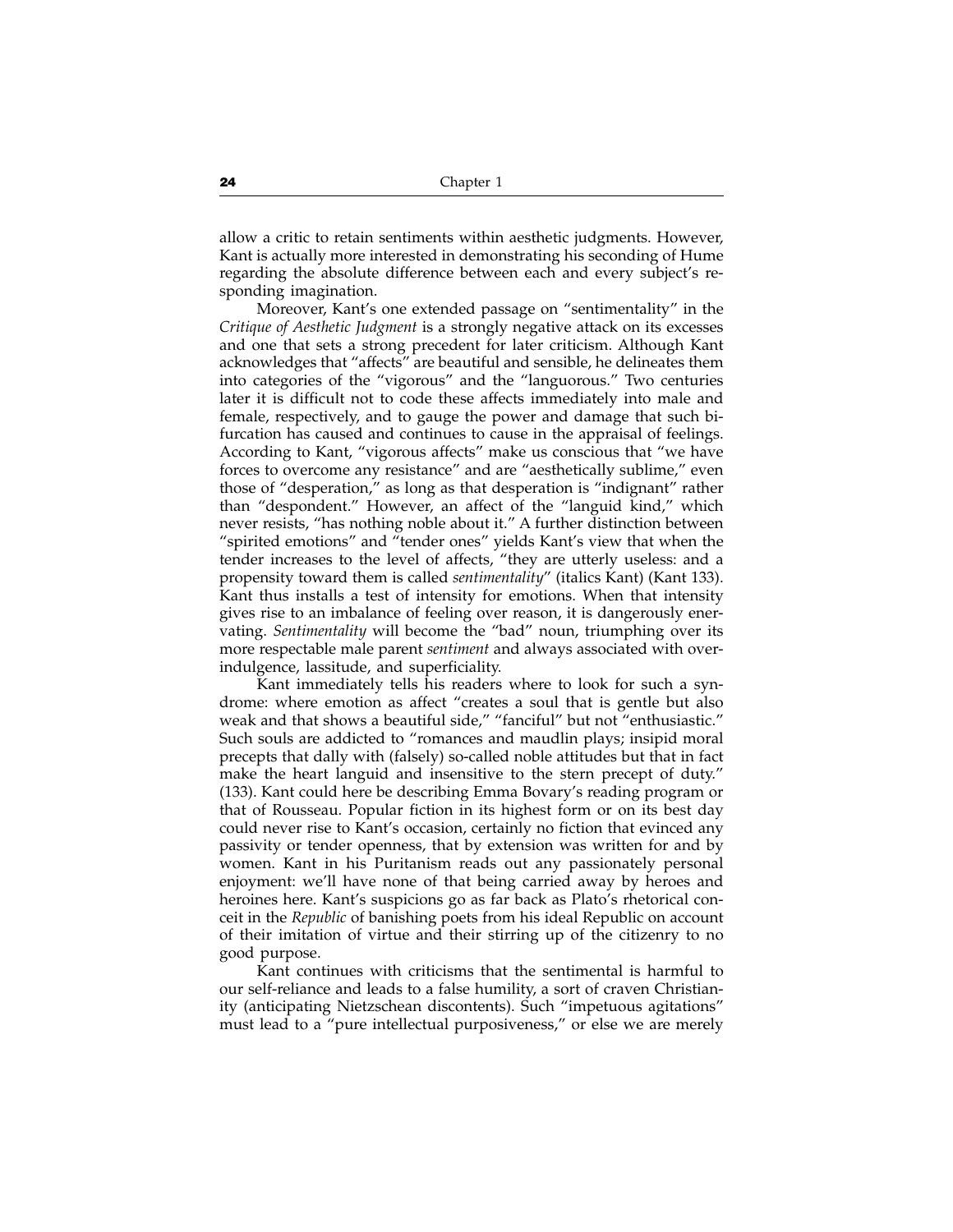allow a critic to retain sentiments within aesthetic judgments. However, Kant is actually more interested in demonstrating his seconding of Hume regarding the absolute difference between each and every subject's responding imagination.

Moreover, Kant's one extended passage on "sentimentality" in the *Critique of Aesthetic Judgment* is a strongly negative attack on its excesses and one that sets a strong precedent for later criticism. Although Kant acknowledges that "affects" are beautiful and sensible, he delineates them into categories of the "vigorous" and the "languorous." Two centuries later it is difficult not to code these affects immediately into male and female, respectively, and to gauge the power and damage that such bifurcation has caused and continues to cause in the appraisal of feelings. According to Kant, "vigorous affects" make us conscious that "we have forces to overcome any resistance" and are "aesthetically sublime," even those of "desperation," as long as that desperation is "indignant" rather than "despondent." However, an affect of the "languid kind," which never resists, "has nothing noble about it." A further distinction between "spirited emotions" and "tender ones" yields Kant's view that when the tender increases to the level of affects, "they are utterly useless: and a propensity toward them is called *sentimentality*" (italics Kant) (Kant 133). Kant thus installs a test of intensity for emotions. When that intensity gives rise to an imbalance of feeling over reason, it is dangerously enervating. *Sentimentality* will become the "bad" noun, triumphing over its more respectable male parent *sentiment* and always associated with overindulgence, lassitude, and superficiality.

Kant immediately tells his readers where to look for such a syndrome: where emotion as affect "creates a soul that is gentle but also weak and that shows a beautiful side," "fanciful" but not "enthusiastic." Such souls are addicted to "romances and maudlin plays; insipid moral precepts that dally with (falsely) so-called noble attitudes but that in fact make the heart languid and insensitive to the stern precept of duty." (133). Kant could here be describing Emma Bovary's reading program or that of Rousseau. Popular fiction in its highest form or on its best day could never rise to Kant's occasion, certainly no fiction that evinced any passivity or tender openness, that by extension was written for and by women. Kant in his Puritanism reads out any passionately personal enjoyment: we'll have none of that being carried away by heroes and heroines here. Kant's suspicions go as far back as Plato's rhetorical conceit in the *Republic* of banishing poets from his ideal Republic on account of their imitation of virtue and their stirring up of the citizenry to no good purpose.

Kant continues with criticisms that the sentimental is harmful to our self-reliance and leads to a false humility, a sort of craven Christianity (anticipating Nietzschean discontents). Such "impetuous agitations" must lead to a "pure intellectual purposiveness," or else we are merely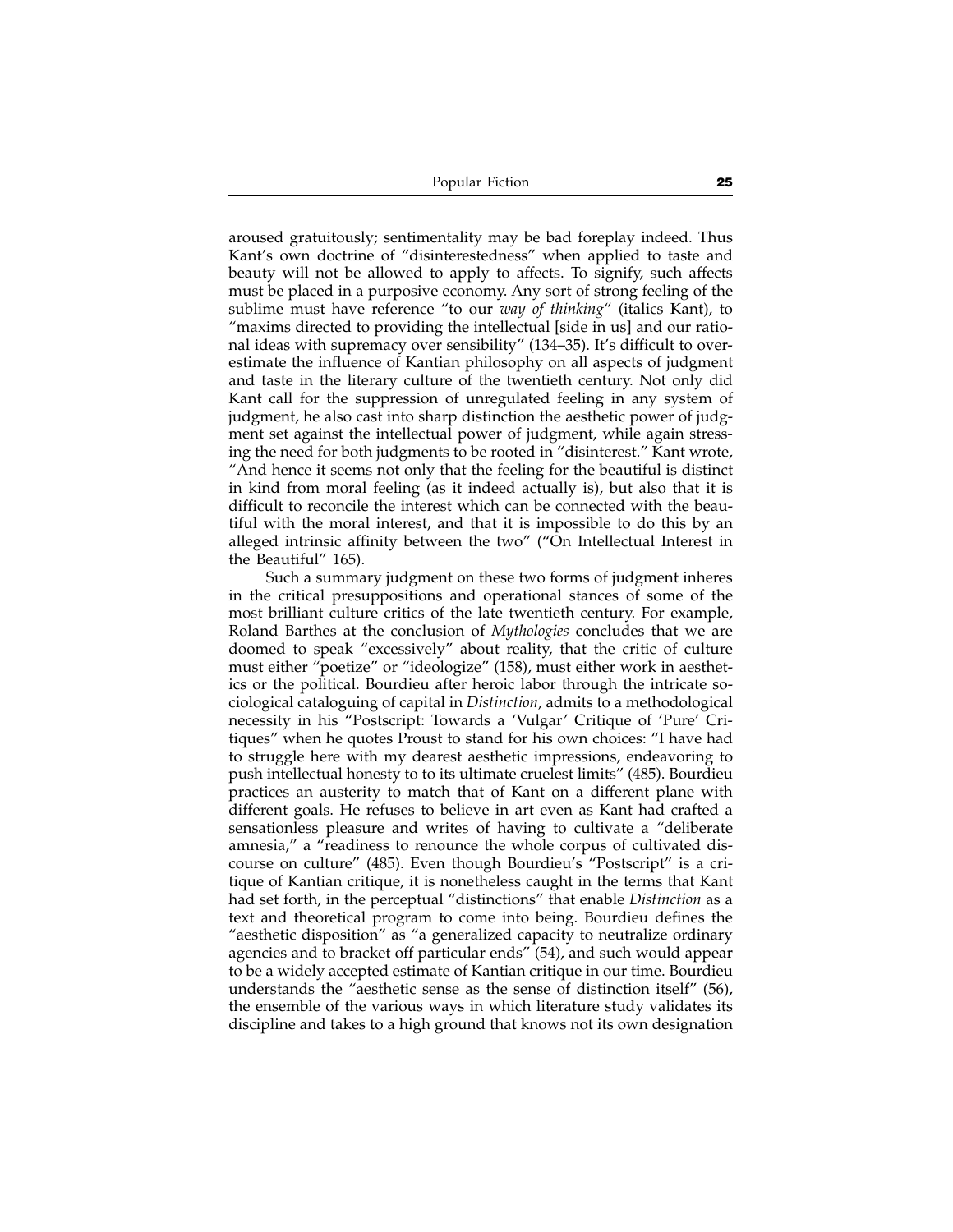aroused gratuitously; sentimentality may be bad foreplay indeed. Thus Kant's own doctrine of "disinterestedness" when applied to taste and beauty will not be allowed to apply to affects. To signify, such affects must be placed in a purposive economy. Any sort of strong feeling of the sublime must have reference "to our *way of thinking*" (italics Kant), to "maxims directed to providing the intellectual [side in us] and our rational ideas with supremacy over sensibility" (134–35). It's difficult to overestimate the influence of Kantian philosophy on all aspects of judgment and taste in the literary culture of the twentieth century. Not only did Kant call for the suppression of unregulated feeling in any system of judgment, he also cast into sharp distinction the aesthetic power of judgment set against the intellectual power of judgment, while again stressing the need for both judgments to be rooted in "disinterest." Kant wrote, "And hence it seems not only that the feeling for the beautiful is distinct in kind from moral feeling (as it indeed actually is), but also that it is difficult to reconcile the interest which can be connected with the beautiful with the moral interest, and that it is impossible to do this by an alleged intrinsic affinity between the two" ("On Intellectual Interest in the Beautiful" 165).

Such a summary judgment on these two forms of judgment inheres in the critical presuppositions and operational stances of some of the most brilliant culture critics of the late twentieth century. For example, Roland Barthes at the conclusion of *Mythologies* concludes that we are doomed to speak "excessively" about reality, that the critic of culture must either "poetize" or "ideologize" (158), must either work in aesthetics or the political. Bourdieu after heroic labor through the intricate sociological cataloguing of capital in *Distinction*, admits to a methodological necessity in his "Postscript: Towards a 'Vulgar' Critique of 'Pure' Critiques" when he quotes Proust to stand for his own choices: "I have had to struggle here with my dearest aesthetic impressions, endeavoring to push intellectual honesty to to its ultimate cruelest limits" (485). Bourdieu practices an austerity to match that of Kant on a different plane with different goals. He refuses to believe in art even as Kant had crafted a sensationless pleasure and writes of having to cultivate a "deliberate amnesia," a "readiness to renounce the whole corpus of cultivated discourse on culture" (485). Even though Bourdieu's "Postscript" is a critique of Kantian critique, it is nonetheless caught in the terms that Kant had set forth, in the perceptual "distinctions" that enable *Distinction* as a text and theoretical program to come into being. Bourdieu defines the "aesthetic disposition" as "a generalized capacity to neutralize ordinary agencies and to bracket off particular ends" (54), and such would appear to be a widely accepted estimate of Kantian critique in our time. Bourdieu understands the "aesthetic sense as the sense of distinction itself" (56), the ensemble of the various ways in which literature study validates its discipline and takes to a high ground that knows not its own designation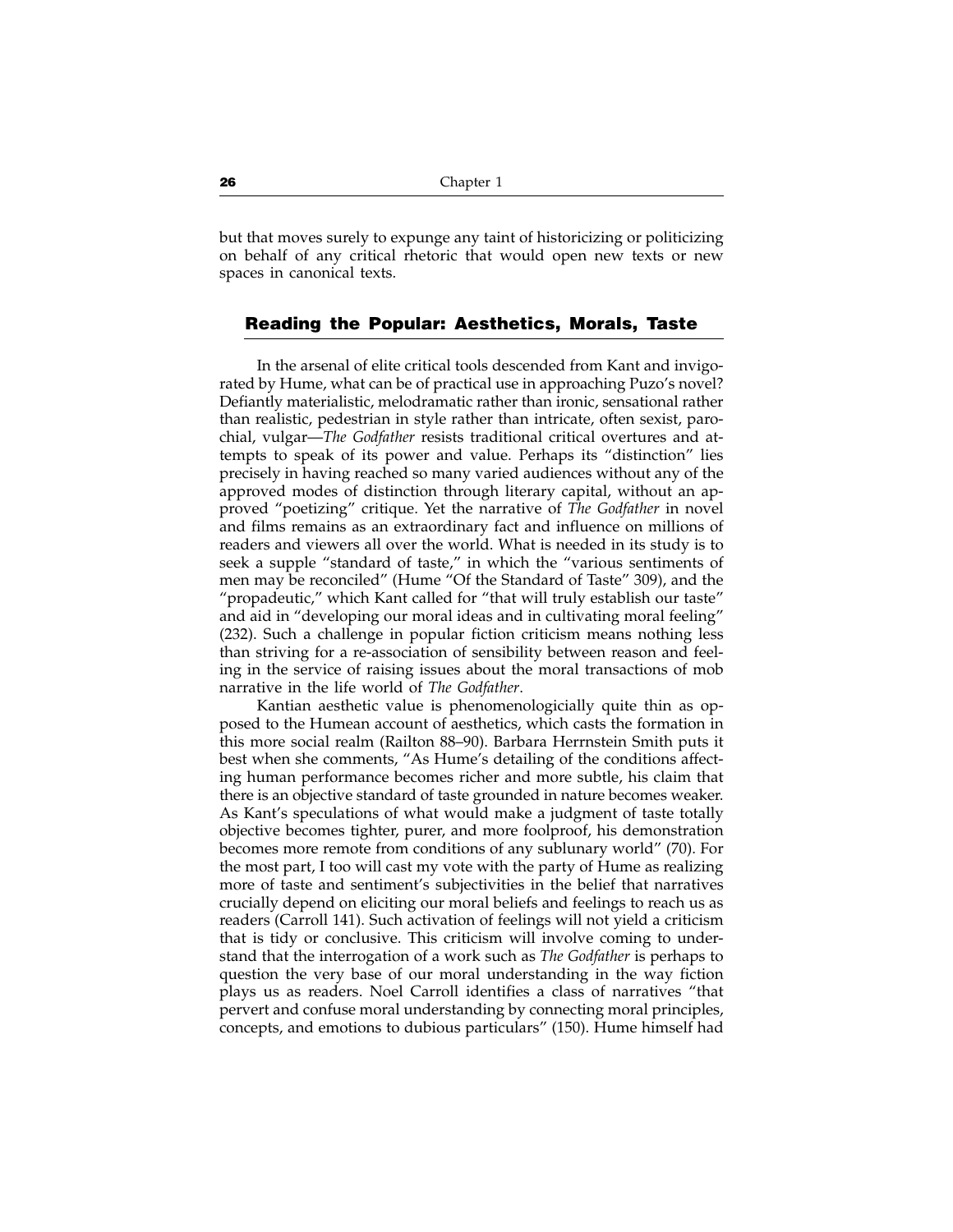but that moves surely to expunge any taint of historicizing or politicizing on behalf of any critical rhetoric that would open new texts or new spaces in canonical texts.

## **Reading the Popular: Aesthetics, Morals, Taste**

In the arsenal of elite critical tools descended from Kant and invigorated by Hume, what can be of practical use in approaching Puzo's novel? Defiantly materialistic, melodramatic rather than ironic, sensational rather than realistic, pedestrian in style rather than intricate, often sexist, parochial, vulgar—*The Godfather* resists traditional critical overtures and attempts to speak of its power and value. Perhaps its "distinction" lies precisely in having reached so many varied audiences without any of the approved modes of distinction through literary capital, without an approved "poetizing" critique. Yet the narrative of *The Godfather* in novel and films remains as an extraordinary fact and influence on millions of readers and viewers all over the world. What is needed in its study is to seek a supple "standard of taste," in which the "various sentiments of men may be reconciled" (Hume "Of the Standard of Taste" 309), and the "propadeutic," which Kant called for "that will truly establish our taste" and aid in "developing our moral ideas and in cultivating moral feeling" (232). Such a challenge in popular fiction criticism means nothing less than striving for a re-association of sensibility between reason and feeling in the service of raising issues about the moral transactions of mob narrative in the life world of *The Godfather*.

Kantian aesthetic value is phenomenologicially quite thin as opposed to the Humean account of aesthetics, which casts the formation in this more social realm (Railton 88–90). Barbara Herrnstein Smith puts it best when she comments, "As Hume's detailing of the conditions affecting human performance becomes richer and more subtle, his claim that there is an objective standard of taste grounded in nature becomes weaker. As Kant's speculations of what would make a judgment of taste totally objective becomes tighter, purer, and more foolproof, his demonstration becomes more remote from conditions of any sublunary world" (70). For the most part, I too will cast my vote with the party of Hume as realizing more of taste and sentiment's subjectivities in the belief that narratives crucially depend on eliciting our moral beliefs and feelings to reach us as readers (Carroll 141). Such activation of feelings will not yield a criticism that is tidy or conclusive. This criticism will involve coming to understand that the interrogation of a work such as *The Godfather* is perhaps to question the very base of our moral understanding in the way fiction plays us as readers. Noel Carroll identifies a class of narratives "that pervert and confuse moral understanding by connecting moral principles, concepts, and emotions to dubious particulars" (150). Hume himself had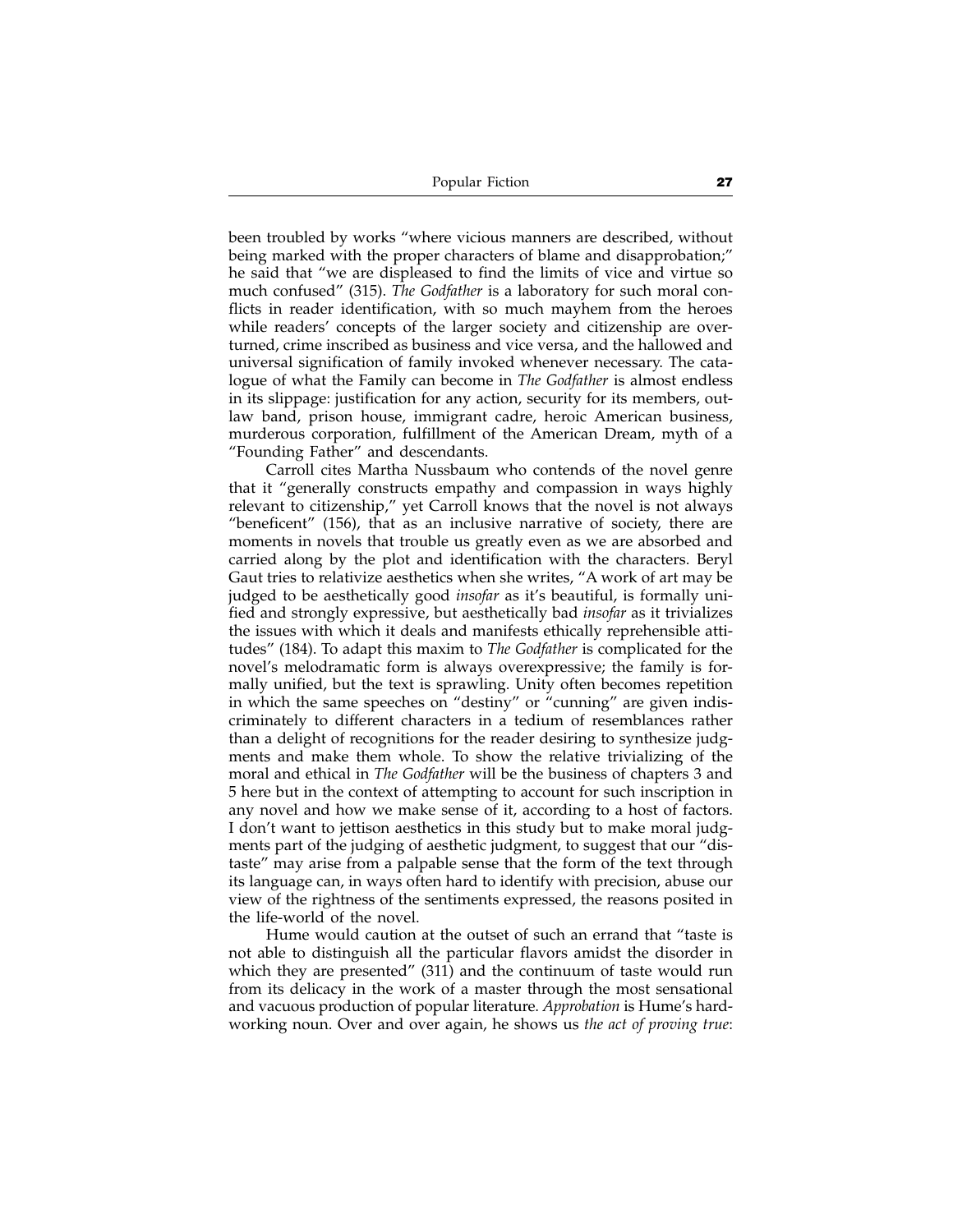been troubled by works "where vicious manners are described, without being marked with the proper characters of blame and disapprobation;" he said that "we are displeased to find the limits of vice and virtue so much confused" (315). *The Godfather* is a laboratory for such moral conflicts in reader identification, with so much mayhem from the heroes while readers' concepts of the larger society and citizenship are overturned, crime inscribed as business and vice versa, and the hallowed and universal signification of family invoked whenever necessary. The catalogue of what the Family can become in *The Godfather* is almost endless in its slippage: justification for any action, security for its members, outlaw band, prison house, immigrant cadre, heroic American business, murderous corporation, fulfillment of the American Dream, myth of a "Founding Father" and descendants.

Carroll cites Martha Nussbaum who contends of the novel genre that it "generally constructs empathy and compassion in ways highly relevant to citizenship," yet Carroll knows that the novel is not always "beneficent" (156), that as an inclusive narrative of society, there are moments in novels that trouble us greatly even as we are absorbed and carried along by the plot and identification with the characters. Beryl Gaut tries to relativize aesthetics when she writes, "A work of art may be judged to be aesthetically good *insofar* as it's beautiful, is formally unified and strongly expressive, but aesthetically bad *insofar* as it trivializes the issues with which it deals and manifests ethically reprehensible attitudes" (184). To adapt this maxim to *The Godfather* is complicated for the novel's melodramatic form is always overexpressive; the family is formally unified, but the text is sprawling. Unity often becomes repetition in which the same speeches on "destiny" or "cunning" are given indiscriminately to different characters in a tedium of resemblances rather than a delight of recognitions for the reader desiring to synthesize judgments and make them whole. To show the relative trivializing of the moral and ethical in *The Godfather* will be the business of chapters 3 and 5 here but in the context of attempting to account for such inscription in any novel and how we make sense of it, according to a host of factors. I don't want to jettison aesthetics in this study but to make moral judgments part of the judging of aesthetic judgment, to suggest that our "distaste" may arise from a palpable sense that the form of the text through its language can, in ways often hard to identify with precision, abuse our view of the rightness of the sentiments expressed, the reasons posited in the life-world of the novel.

Hume would caution at the outset of such an errand that "taste is not able to distinguish all the particular flavors amidst the disorder in which they are presented" (311) and the continuum of taste would run from its delicacy in the work of a master through the most sensational and vacuous production of popular literature. *Approbation* is Hume's hardworking noun. Over and over again, he shows us *the act of proving true*: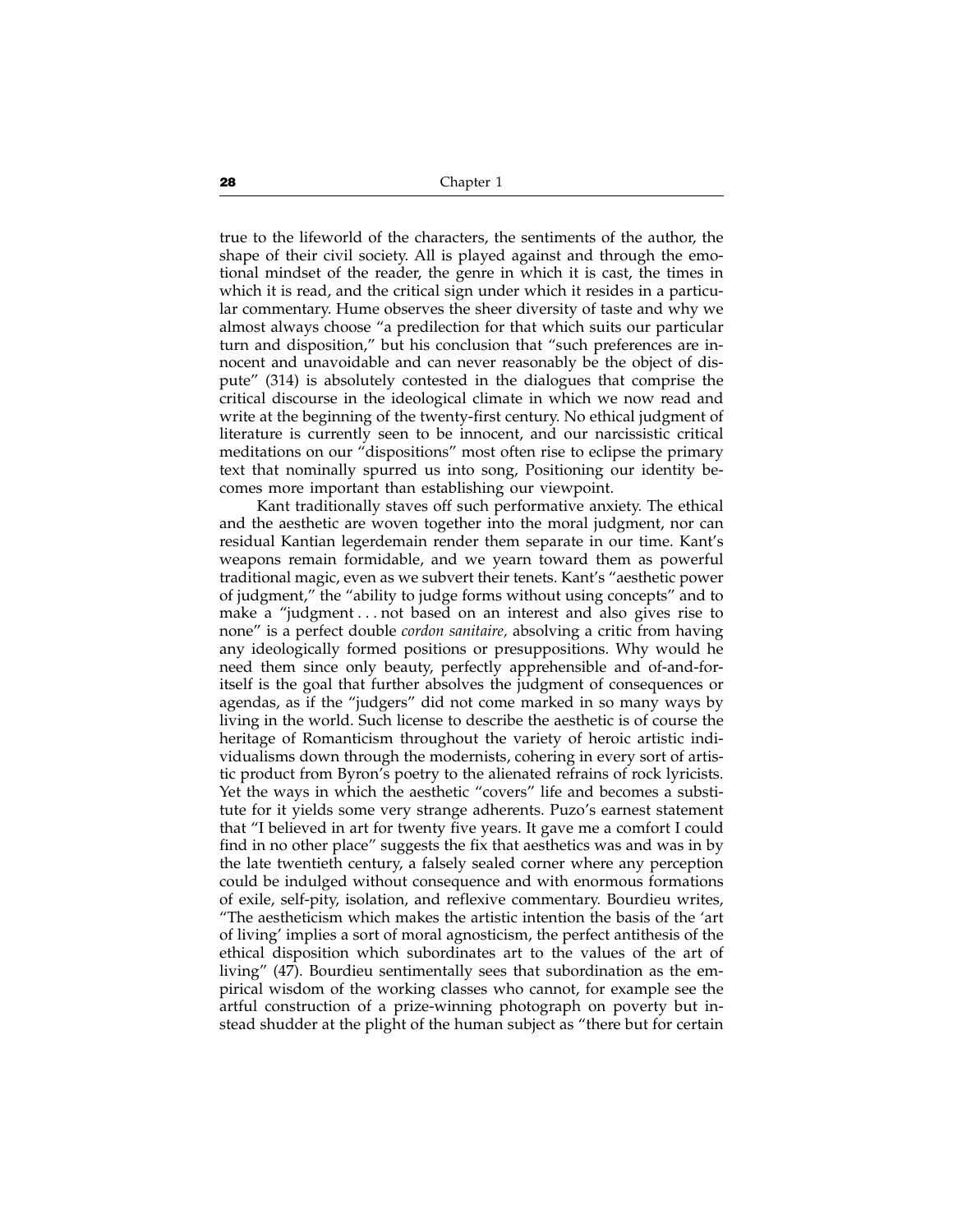true to the lifeworld of the characters, the sentiments of the author, the shape of their civil society. All is played against and through the emotional mindset of the reader, the genre in which it is cast, the times in which it is read, and the critical sign under which it resides in a particular commentary. Hume observes the sheer diversity of taste and why we almost always choose "a predilection for that which suits our particular turn and disposition," but his conclusion that "such preferences are innocent and unavoidable and can never reasonably be the object of dispute" (314) is absolutely contested in the dialogues that comprise the critical discourse in the ideological climate in which we now read and write at the beginning of the twenty-first century. No ethical judgment of literature is currently seen to be innocent, and our narcissistic critical meditations on our "dispositions" most often rise to eclipse the primary text that nominally spurred us into song, Positioning our identity becomes more important than establishing our viewpoint.

Kant traditionally staves off such performative anxiety. The ethical and the aesthetic are woven together into the moral judgment, nor can residual Kantian legerdemain render them separate in our time. Kant's weapons remain formidable, and we yearn toward them as powerful traditional magic, even as we subvert their tenets. Kant's "aesthetic power of judgment," the "ability to judge forms without using concepts" and to make a "judgment . . . not based on an interest and also gives rise to none" is a perfect double *cordon sanitaire,* absolving a critic from having any ideologically formed positions or presuppositions. Why would he need them since only beauty, perfectly apprehensible and of-and-foritself is the goal that further absolves the judgment of consequences or agendas, as if the "judgers" did not come marked in so many ways by living in the world. Such license to describe the aesthetic is of course the heritage of Romanticism throughout the variety of heroic artistic individualisms down through the modernists, cohering in every sort of artistic product from Byron's poetry to the alienated refrains of rock lyricists. Yet the ways in which the aesthetic "covers" life and becomes a substitute for it yields some very strange adherents. Puzo's earnest statement that "I believed in art for twenty five years. It gave me a comfort I could find in no other place" suggests the fix that aesthetics was and was in by the late twentieth century, a falsely sealed corner where any perception could be indulged without consequence and with enormous formations of exile, self-pity, isolation, and reflexive commentary. Bourdieu writes, "The aestheticism which makes the artistic intention the basis of the 'art of living' implies a sort of moral agnosticism, the perfect antithesis of the ethical disposition which subordinates art to the values of the art of living" (47). Bourdieu sentimentally sees that subordination as the empirical wisdom of the working classes who cannot, for example see the artful construction of a prize-winning photograph on poverty but instead shudder at the plight of the human subject as "there but for certain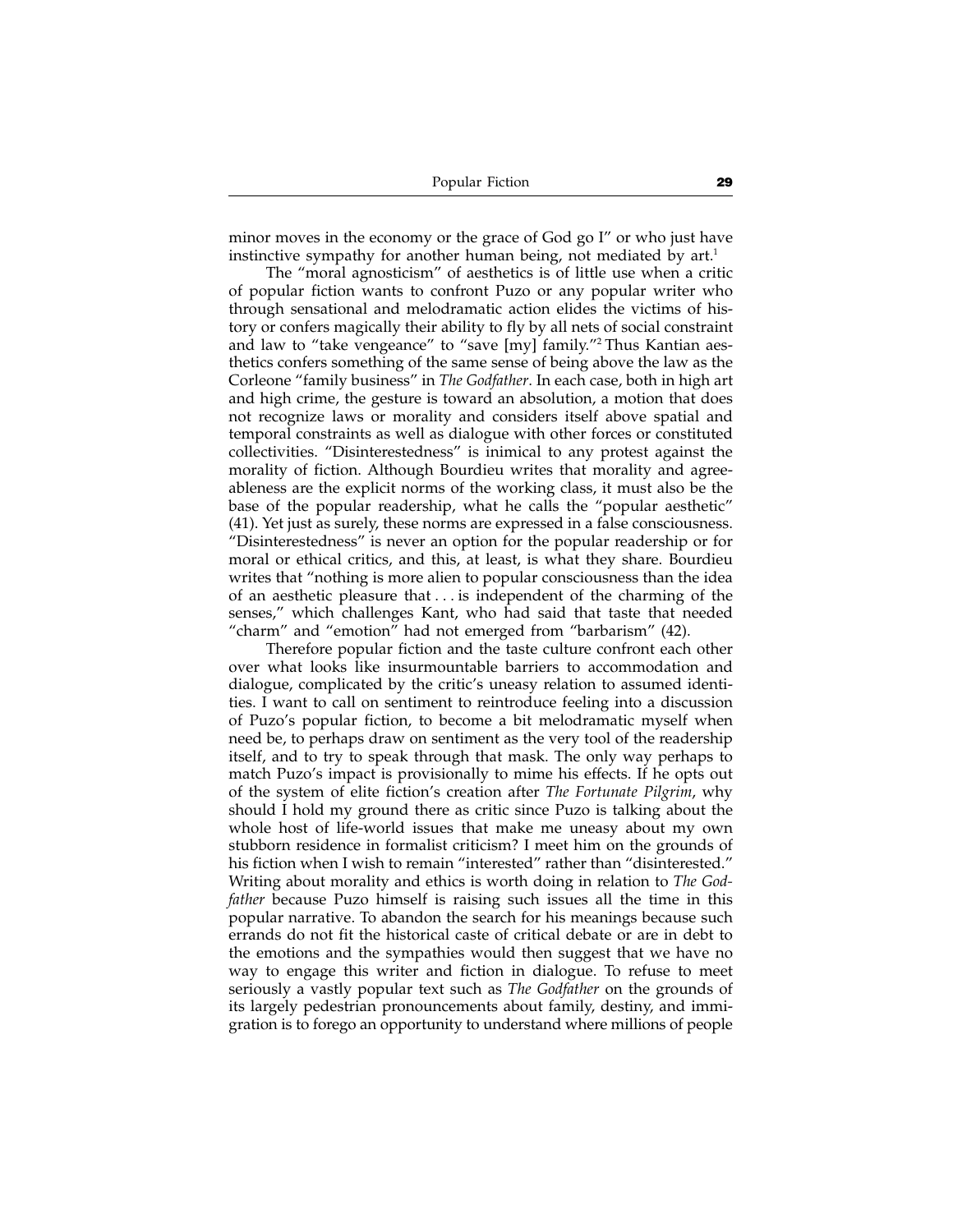minor moves in the economy or the grace of God go I" or who just have instinctive sympathy for another human being, not mediated by art.<sup>1</sup>

The "moral agnosticism" of aesthetics is of little use when a critic of popular fiction wants to confront Puzo or any popular writer who through sensational and melodramatic action elides the victims of history or confers magically their ability to fly by all nets of social constraint and law to "take vengeance" to "save [my] family."2 Thus Kantian aesthetics confers something of the same sense of being above the law as the Corleone "family business" in *The Godfather*. In each case, both in high art and high crime, the gesture is toward an absolution, a motion that does not recognize laws or morality and considers itself above spatial and temporal constraints as well as dialogue with other forces or constituted collectivities. "Disinterestedness" is inimical to any protest against the morality of fiction. Although Bourdieu writes that morality and agreeableness are the explicit norms of the working class, it must also be the base of the popular readership, what he calls the "popular aesthetic" (41). Yet just as surely, these norms are expressed in a false consciousness. "Disinterestedness" is never an option for the popular readership or for moral or ethical critics, and this, at least, is what they share. Bourdieu writes that "nothing is more alien to popular consciousness than the idea of an aesthetic pleasure that . . . is independent of the charming of the senses," which challenges Kant, who had said that taste that needed "charm" and "emotion" had not emerged from "barbarism" (42).

Therefore popular fiction and the taste culture confront each other over what looks like insurmountable barriers to accommodation and dialogue, complicated by the critic's uneasy relation to assumed identities. I want to call on sentiment to reintroduce feeling into a discussion of Puzo's popular fiction, to become a bit melodramatic myself when need be, to perhaps draw on sentiment as the very tool of the readership itself, and to try to speak through that mask. The only way perhaps to match Puzo's impact is provisionally to mime his effects. If he opts out of the system of elite fiction's creation after *The Fortunate Pilgrim*, why should I hold my ground there as critic since Puzo is talking about the whole host of life-world issues that make me uneasy about my own stubborn residence in formalist criticism? I meet him on the grounds of his fiction when I wish to remain "interested" rather than "disinterested." Writing about morality and ethics is worth doing in relation to *The Godfather* because Puzo himself is raising such issues all the time in this popular narrative. To abandon the search for his meanings because such errands do not fit the historical caste of critical debate or are in debt to the emotions and the sympathies would then suggest that we have no way to engage this writer and fiction in dialogue. To refuse to meet seriously a vastly popular text such as *The Godfather* on the grounds of its largely pedestrian pronouncements about family, destiny, and immigration is to forego an opportunity to understand where millions of people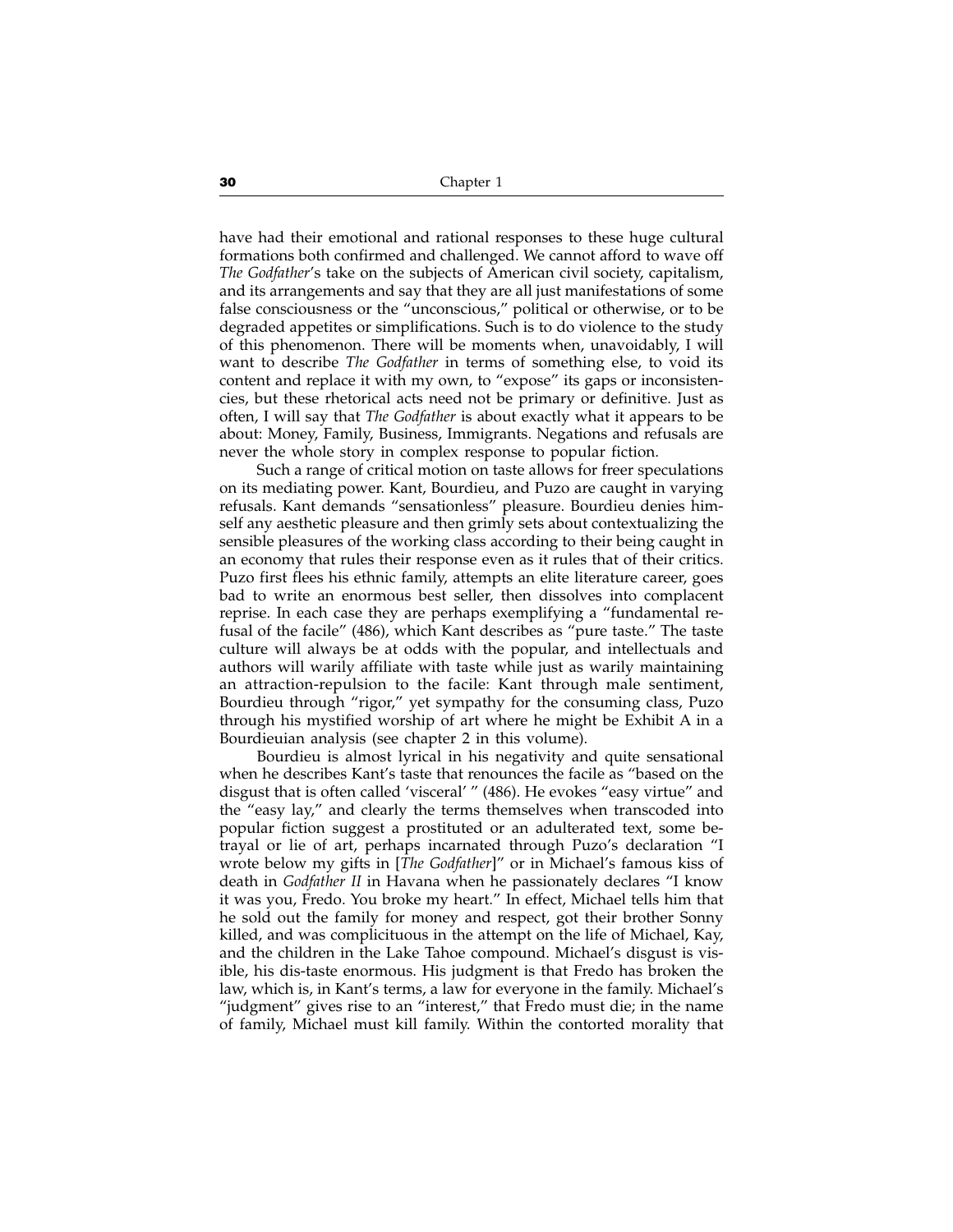have had their emotional and rational responses to these huge cultural formations both confirmed and challenged. We cannot afford to wave off *The Godfather*'s take on the subjects of American civil society, capitalism, and its arrangements and say that they are all just manifestations of some false consciousness or the "unconscious," political or otherwise, or to be degraded appetites or simplifications. Such is to do violence to the study of this phenomenon. There will be moments when, unavoidably, I will want to describe *The Godfather* in terms of something else, to void its content and replace it with my own, to "expose" its gaps or inconsistencies, but these rhetorical acts need not be primary or definitive. Just as often, I will say that *The Godfather* is about exactly what it appears to be about: Money, Family, Business, Immigrants. Negations and refusals are never the whole story in complex response to popular fiction.

Such a range of critical motion on taste allows for freer speculations on its mediating power. Kant, Bourdieu, and Puzo are caught in varying refusals. Kant demands "sensationless" pleasure. Bourdieu denies himself any aesthetic pleasure and then grimly sets about contextualizing the sensible pleasures of the working class according to their being caught in an economy that rules their response even as it rules that of their critics. Puzo first flees his ethnic family, attempts an elite literature career, goes bad to write an enormous best seller, then dissolves into complacent reprise. In each case they are perhaps exemplifying a "fundamental refusal of the facile" (486), which Kant describes as "pure taste." The taste culture will always be at odds with the popular, and intellectuals and authors will warily affiliate with taste while just as warily maintaining an attraction-repulsion to the facile: Kant through male sentiment, Bourdieu through "rigor," yet sympathy for the consuming class, Puzo through his mystified worship of art where he might be Exhibit A in a Bourdieuian analysis (see chapter 2 in this volume).

Bourdieu is almost lyrical in his negativity and quite sensational when he describes Kant's taste that renounces the facile as "based on the disgust that is often called 'visceral' " (486). He evokes "easy virtue" and the "easy lay," and clearly the terms themselves when transcoded into popular fiction suggest a prostituted or an adulterated text, some betrayal or lie of art, perhaps incarnated through Puzo's declaration "I wrote below my gifts in [*The Godfather*]" or in Michael's famous kiss of death in *Godfather II* in Havana when he passionately declares "I know it was you, Fredo. You broke my heart." In effect, Michael tells him that he sold out the family for money and respect, got their brother Sonny killed, and was complicituous in the attempt on the life of Michael, Kay, and the children in the Lake Tahoe compound. Michael's disgust is visible, his dis-taste enormous. His judgment is that Fredo has broken the law, which is, in Kant's terms, a law for everyone in the family. Michael's "judgment" gives rise to an "interest," that Fredo must die; in the name of family, Michael must kill family. Within the contorted morality that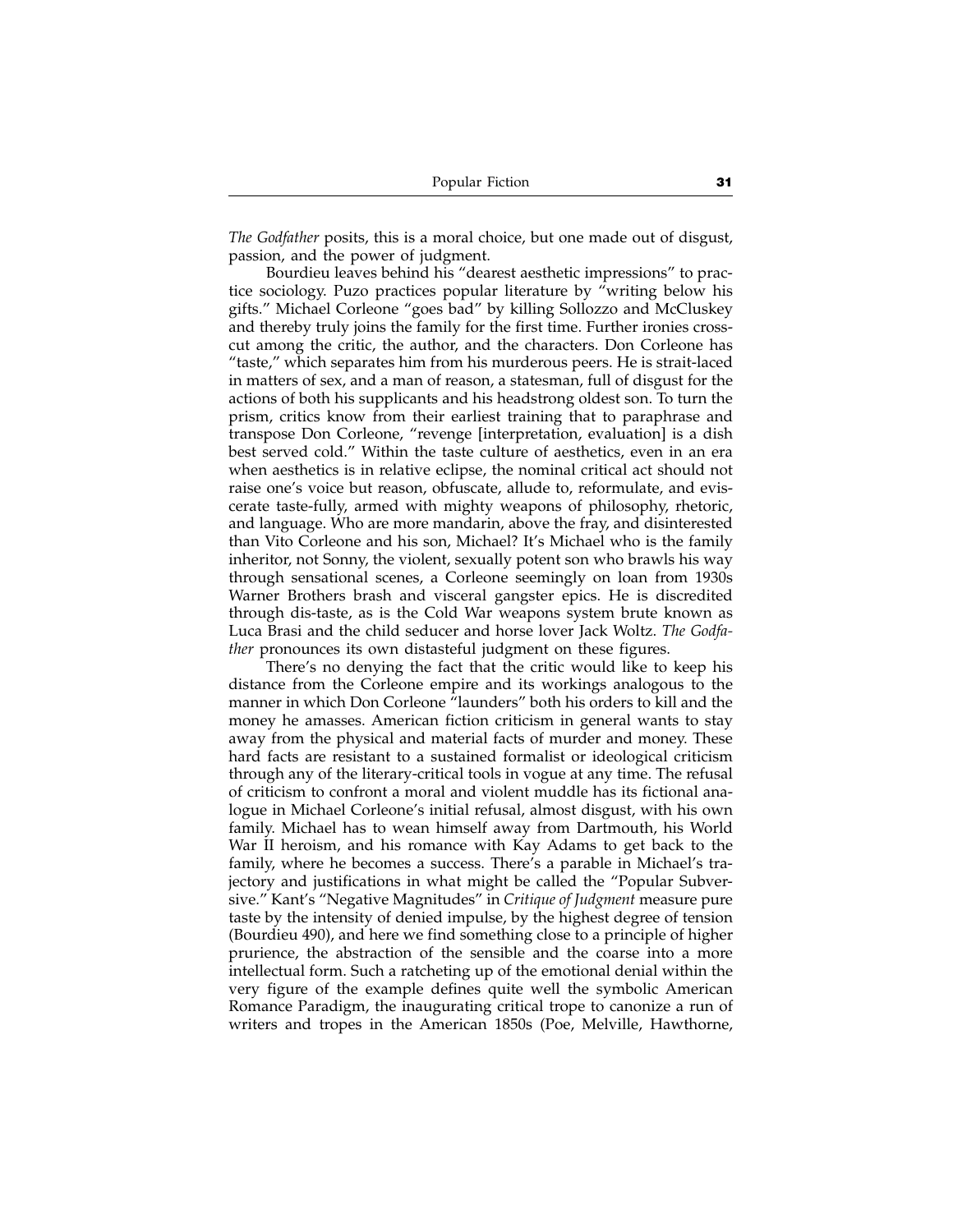*The Godfather* posits, this is a moral choice, but one made out of disgust, passion, and the power of judgment.

Bourdieu leaves behind his "dearest aesthetic impressions" to practice sociology. Puzo practices popular literature by "writing below his gifts." Michael Corleone "goes bad" by killing Sollozzo and McCluskey and thereby truly joins the family for the first time. Further ironies crosscut among the critic, the author, and the characters. Don Corleone has "taste," which separates him from his murderous peers. He is strait-laced in matters of sex, and a man of reason, a statesman, full of disgust for the actions of both his supplicants and his headstrong oldest son. To turn the prism, critics know from their earliest training that to paraphrase and transpose Don Corleone, "revenge [interpretation, evaluation] is a dish best served cold." Within the taste culture of aesthetics, even in an era when aesthetics is in relative eclipse, the nominal critical act should not raise one's voice but reason, obfuscate, allude to, reformulate, and eviscerate taste-fully, armed with mighty weapons of philosophy, rhetoric, and language. Who are more mandarin, above the fray, and disinterested than Vito Corleone and his son, Michael? It's Michael who is the family inheritor, not Sonny, the violent, sexually potent son who brawls his way through sensational scenes, a Corleone seemingly on loan from 1930s Warner Brothers brash and visceral gangster epics. He is discredited through dis-taste, as is the Cold War weapons system brute known as Luca Brasi and the child seducer and horse lover Jack Woltz. *The Godfather* pronounces its own distasteful judgment on these figures.

There's no denying the fact that the critic would like to keep his distance from the Corleone empire and its workings analogous to the manner in which Don Corleone "launders" both his orders to kill and the money he amasses. American fiction criticism in general wants to stay away from the physical and material facts of murder and money. These hard facts are resistant to a sustained formalist or ideological criticism through any of the literary-critical tools in vogue at any time. The refusal of criticism to confront a moral and violent muddle has its fictional analogue in Michael Corleone's initial refusal, almost disgust, with his own family. Michael has to wean himself away from Dartmouth, his World War II heroism, and his romance with Kay Adams to get back to the family, where he becomes a success. There's a parable in Michael's trajectory and justifications in what might be called the "Popular Subversive." Kant's "Negative Magnitudes" in *Critique of Judgment* measure pure taste by the intensity of denied impulse, by the highest degree of tension (Bourdieu 490), and here we find something close to a principle of higher prurience, the abstraction of the sensible and the coarse into a more intellectual form. Such a ratcheting up of the emotional denial within the very figure of the example defines quite well the symbolic American Romance Paradigm, the inaugurating critical trope to canonize a run of writers and tropes in the American 1850s (Poe, Melville, Hawthorne,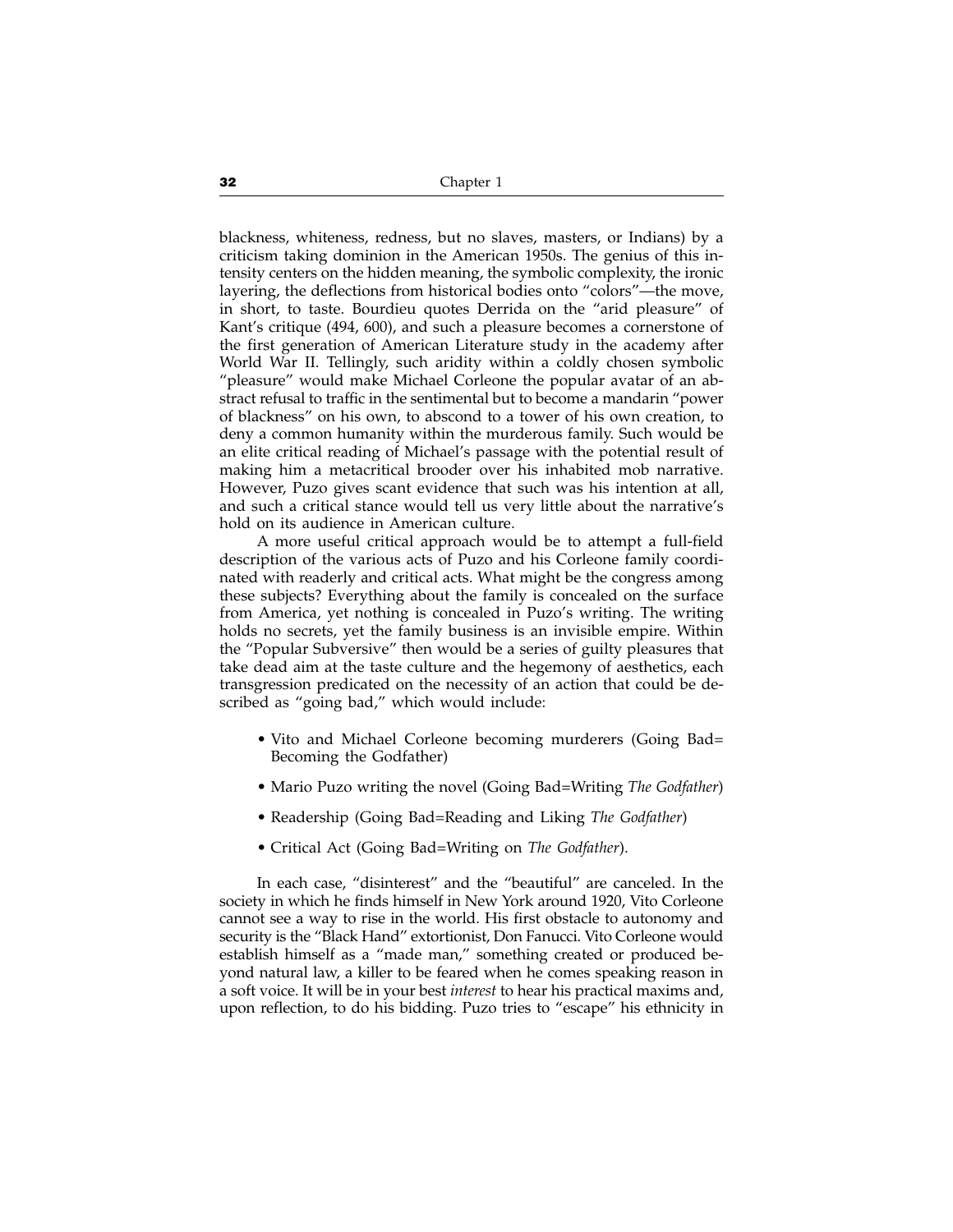blackness, whiteness, redness, but no slaves, masters, or Indians) by a criticism taking dominion in the American 1950s. The genius of this intensity centers on the hidden meaning, the symbolic complexity, the ironic layering, the deflections from historical bodies onto "colors"—the move, in short, to taste. Bourdieu quotes Derrida on the "arid pleasure" of Kant's critique (494, 600), and such a pleasure becomes a cornerstone of the first generation of American Literature study in the academy after World War II. Tellingly, such aridity within a coldly chosen symbolic "pleasure" would make Michael Corleone the popular avatar of an abstract refusal to traffic in the sentimental but to become a mandarin "power of blackness" on his own, to abscond to a tower of his own creation, to deny a common humanity within the murderous family. Such would be an elite critical reading of Michael's passage with the potential result of making him a metacritical brooder over his inhabited mob narrative. However, Puzo gives scant evidence that such was his intention at all, and such a critical stance would tell us very little about the narrative's hold on its audience in American culture.

A more useful critical approach would be to attempt a full-field description of the various acts of Puzo and his Corleone family coordinated with readerly and critical acts. What might be the congress among these subjects? Everything about the family is concealed on the surface from America, yet nothing is concealed in Puzo's writing. The writing holds no secrets, yet the family business is an invisible empire. Within the "Popular Subversive" then would be a series of guilty pleasures that take dead aim at the taste culture and the hegemony of aesthetics, each transgression predicated on the necessity of an action that could be described as "going bad," which would include:

- Vito and Michael Corleone becoming murderers (Going Bad= Becoming the Godfather)
- Mario Puzo writing the novel (Going Bad=Writing *The Godfather*)
- Readership (Going Bad=Reading and Liking *The Godfather*)
- Critical Act (Going Bad=Writing on *The Godfather*).

In each case, "disinterest" and the "beautiful" are canceled. In the society in which he finds himself in New York around 1920, Vito Corleone cannot see a way to rise in the world. His first obstacle to autonomy and security is the "Black Hand" extortionist, Don Fanucci. Vito Corleone would establish himself as a "made man," something created or produced beyond natural law, a killer to be feared when he comes speaking reason in a soft voice. It will be in your best *interest* to hear his practical maxims and, upon reflection, to do his bidding. Puzo tries to "escape" his ethnicity in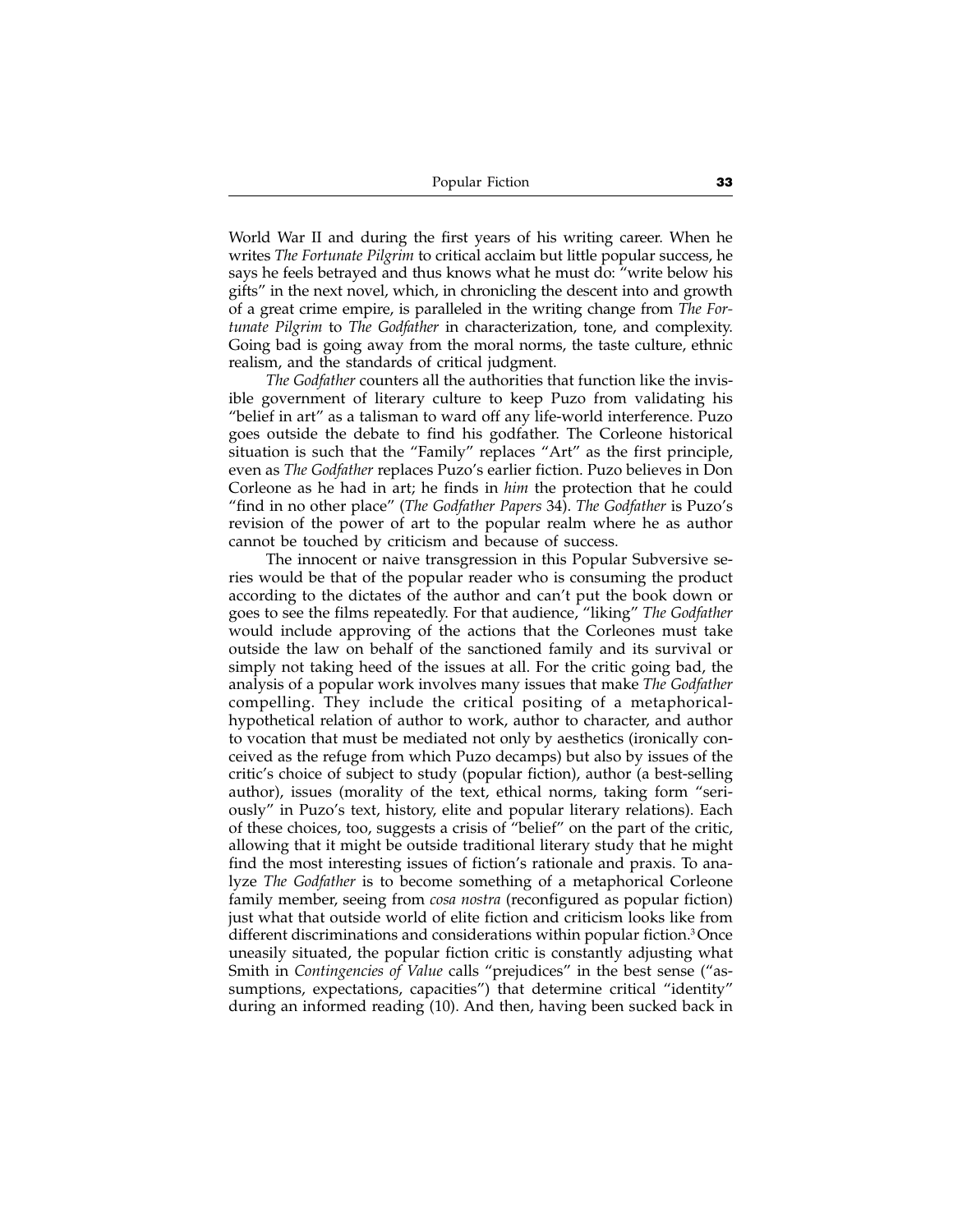World War II and during the first years of his writing career. When he writes *The Fortunate Pilgrim* to critical acclaim but little popular success, he says he feels betrayed and thus knows what he must do: "write below his gifts" in the next novel, which, in chronicling the descent into and growth of a great crime empire, is paralleled in the writing change from *The Fortunate Pilgrim* to *The Godfather* in characterization, tone, and complexity. Going bad is going away from the moral norms, the taste culture, ethnic realism, and the standards of critical judgment.

*The Godfather* counters all the authorities that function like the invisible government of literary culture to keep Puzo from validating his "belief in art" as a talisman to ward off any life-world interference. Puzo goes outside the debate to find his godfather. The Corleone historical situation is such that the "Family" replaces "Art" as the first principle, even as *The Godfather* replaces Puzo's earlier fiction. Puzo believes in Don Corleone as he had in art; he finds in *him* the protection that he could "find in no other place" (*The Godfather Papers* 34). *The Godfather* is Puzo's revision of the power of art to the popular realm where he as author cannot be touched by criticism and because of success.

The innocent or naive transgression in this Popular Subversive series would be that of the popular reader who is consuming the product according to the dictates of the author and can't put the book down or goes to see the films repeatedly. For that audience, "liking" *The Godfather* would include approving of the actions that the Corleones must take outside the law on behalf of the sanctioned family and its survival or simply not taking heed of the issues at all. For the critic going bad, the analysis of a popular work involves many issues that make *The Godfather* compelling. They include the critical positing of a metaphoricalhypothetical relation of author to work, author to character, and author to vocation that must be mediated not only by aesthetics (ironically conceived as the refuge from which Puzo decamps) but also by issues of the critic's choice of subject to study (popular fiction), author (a best-selling author), issues (morality of the text, ethical norms, taking form "seriously" in Puzo's text, history, elite and popular literary relations). Each of these choices, too, suggests a crisis of "belief" on the part of the critic, allowing that it might be outside traditional literary study that he might find the most interesting issues of fiction's rationale and praxis. To analyze *The Godfather* is to become something of a metaphorical Corleone family member, seeing from *cosa nostra* (reconfigured as popular fiction) just what that outside world of elite fiction and criticism looks like from different discriminations and considerations within popular fiction.3Once uneasily situated, the popular fiction critic is constantly adjusting what Smith in *Contingencies of Value* calls "prejudices" in the best sense ("assumptions, expectations, capacities") that determine critical "identity" during an informed reading (10). And then, having been sucked back in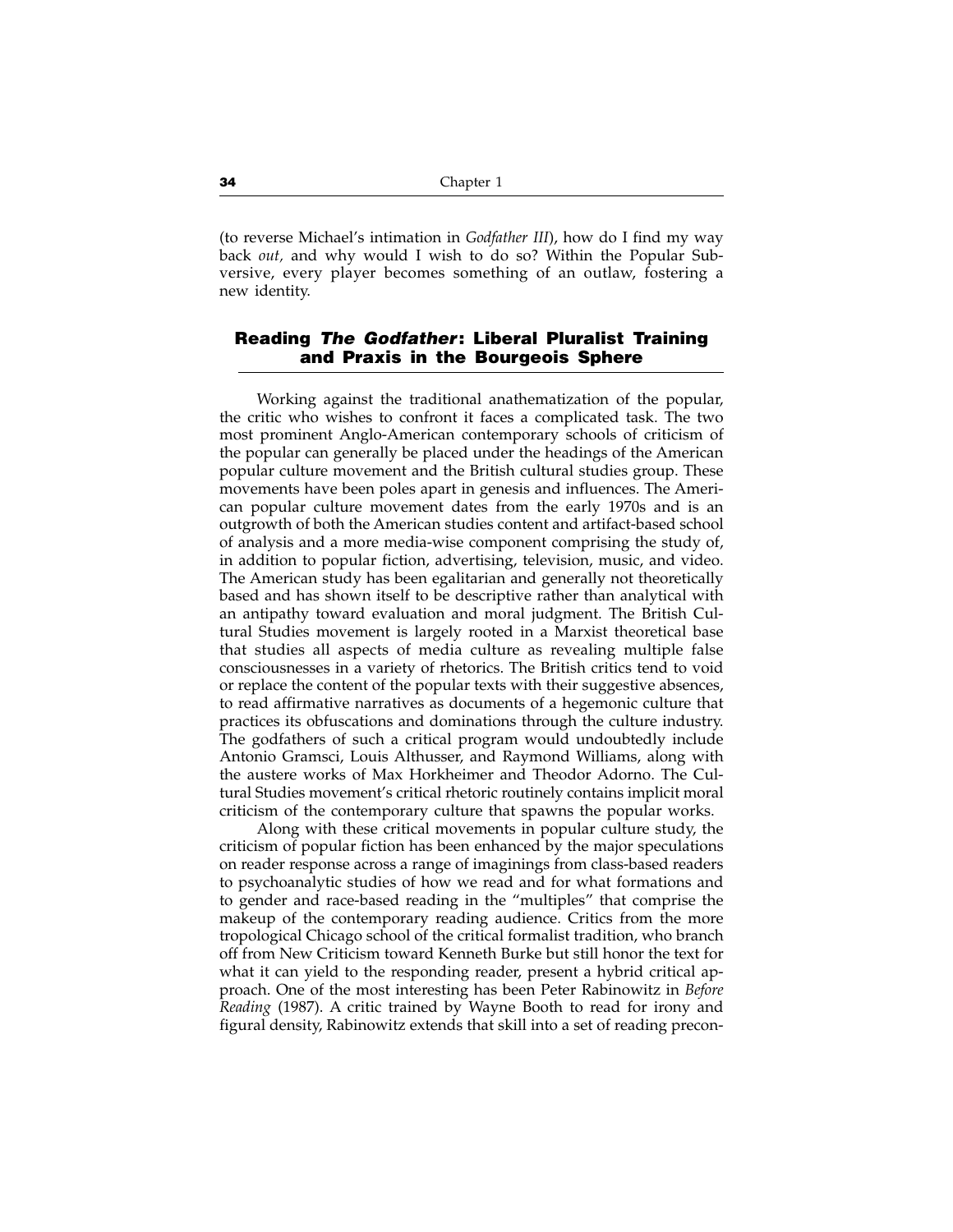(to reverse Michael's intimation in *Godfather III*), how do I find my way back *out,* and why would I wish to do so? Within the Popular Subversive, every player becomes something of an outlaw, fostering a new identity.

## **Reading The Godfather : Liberal Pluralist Training and Praxis in the Bourgeois Sphere**

Working against the traditional anathematization of the popular, the critic who wishes to confront it faces a complicated task. The two most prominent Anglo-American contemporary schools of criticism of the popular can generally be placed under the headings of the American popular culture movement and the British cultural studies group. These movements have been poles apart in genesis and influences. The American popular culture movement dates from the early 1970s and is an outgrowth of both the American studies content and artifact-based school of analysis and a more media-wise component comprising the study of, in addition to popular fiction, advertising, television, music, and video. The American study has been egalitarian and generally not theoretically based and has shown itself to be descriptive rather than analytical with an antipathy toward evaluation and moral judgment. The British Cultural Studies movement is largely rooted in a Marxist theoretical base that studies all aspects of media culture as revealing multiple false consciousnesses in a variety of rhetorics. The British critics tend to void or replace the content of the popular texts with their suggestive absences, to read affirmative narratives as documents of a hegemonic culture that practices its obfuscations and dominations through the culture industry. The godfathers of such a critical program would undoubtedly include Antonio Gramsci, Louis Althusser, and Raymond Williams, along with the austere works of Max Horkheimer and Theodor Adorno. The Cultural Studies movement's critical rhetoric routinely contains implicit moral criticism of the contemporary culture that spawns the popular works.

Along with these critical movements in popular culture study, the criticism of popular fiction has been enhanced by the major speculations on reader response across a range of imaginings from class-based readers to psychoanalytic studies of how we read and for what formations and to gender and race-based reading in the "multiples" that comprise the makeup of the contemporary reading audience. Critics from the more tropological Chicago school of the critical formalist tradition, who branch off from New Criticism toward Kenneth Burke but still honor the text for what it can yield to the responding reader, present a hybrid critical approach. One of the most interesting has been Peter Rabinowitz in *Before Reading* (1987). A critic trained by Wayne Booth to read for irony and figural density, Rabinowitz extends that skill into a set of reading precon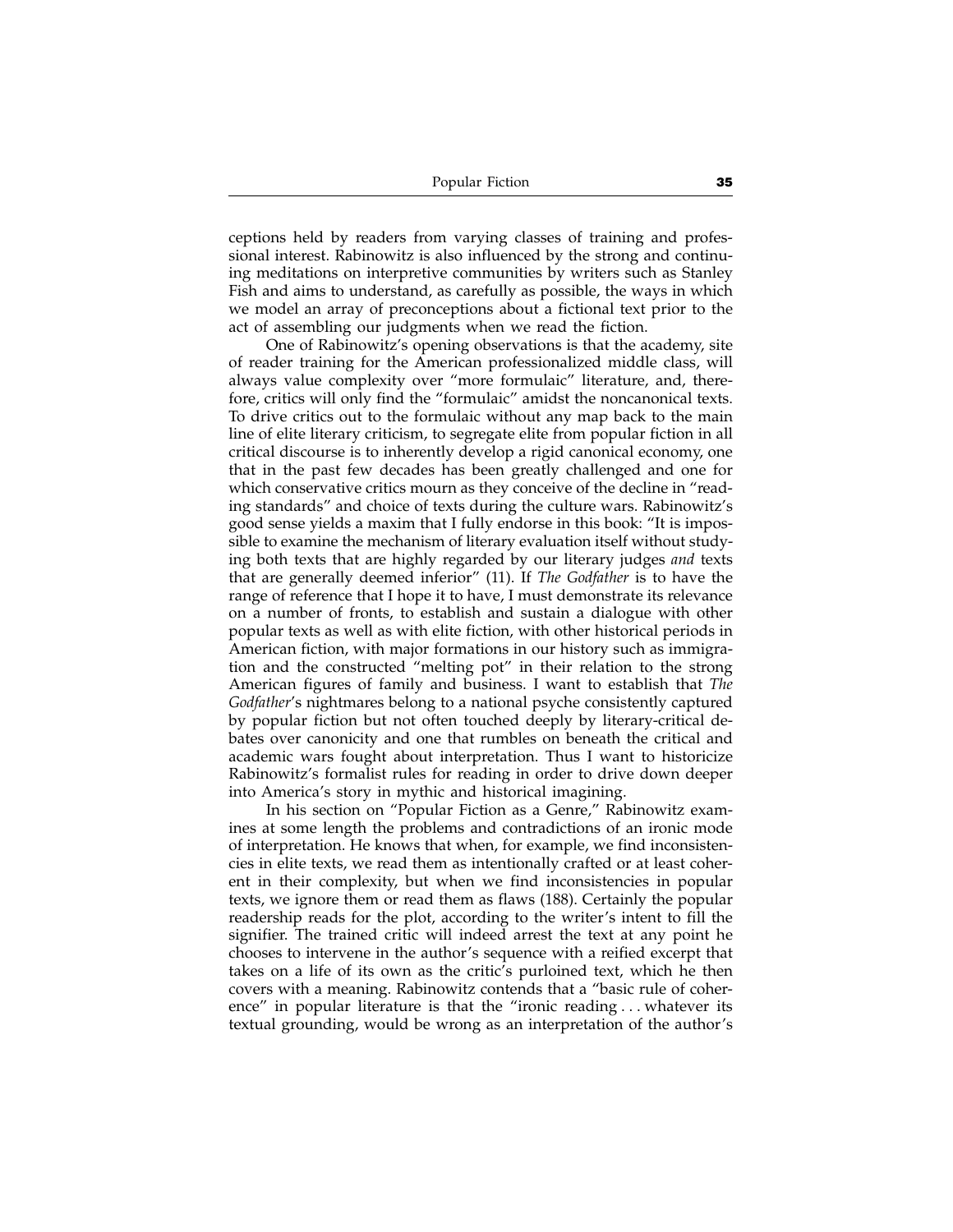ceptions held by readers from varying classes of training and professional interest. Rabinowitz is also influenced by the strong and continuing meditations on interpretive communities by writers such as Stanley Fish and aims to understand, as carefully as possible, the ways in which we model an array of preconceptions about a fictional text prior to the act of assembling our judgments when we read the fiction.

One of Rabinowitz's opening observations is that the academy, site of reader training for the American professionalized middle class, will always value complexity over "more formulaic" literature, and, therefore, critics will only find the "formulaic" amidst the noncanonical texts. To drive critics out to the formulaic without any map back to the main line of elite literary criticism, to segregate elite from popular fiction in all critical discourse is to inherently develop a rigid canonical economy, one that in the past few decades has been greatly challenged and one for which conservative critics mourn as they conceive of the decline in "reading standards" and choice of texts during the culture wars. Rabinowitz's good sense yields a maxim that I fully endorse in this book: "It is impossible to examine the mechanism of literary evaluation itself without studying both texts that are highly regarded by our literary judges *and* texts that are generally deemed inferior" (11). If *The Godfather* is to have the range of reference that I hope it to have, I must demonstrate its relevance on a number of fronts, to establish and sustain a dialogue with other popular texts as well as with elite fiction, with other historical periods in American fiction, with major formations in our history such as immigration and the constructed "melting pot" in their relation to the strong American figures of family and business. I want to establish that *The Godfather*'s nightmares belong to a national psyche consistently captured by popular fiction but not often touched deeply by literary-critical debates over canonicity and one that rumbles on beneath the critical and academic wars fought about interpretation. Thus I want to historicize Rabinowitz's formalist rules for reading in order to drive down deeper into America's story in mythic and historical imagining.

In his section on "Popular Fiction as a Genre," Rabinowitz examines at some length the problems and contradictions of an ironic mode of interpretation. He knows that when, for example, we find inconsistencies in elite texts, we read them as intentionally crafted or at least coherent in their complexity, but when we find inconsistencies in popular texts, we ignore them or read them as flaws (188). Certainly the popular readership reads for the plot, according to the writer's intent to fill the signifier. The trained critic will indeed arrest the text at any point he chooses to intervene in the author's sequence with a reified excerpt that takes on a life of its own as the critic's purloined text, which he then covers with a meaning. Rabinowitz contends that a "basic rule of coherence" in popular literature is that the "ironic reading . . . whatever its textual grounding, would be wrong as an interpretation of the author's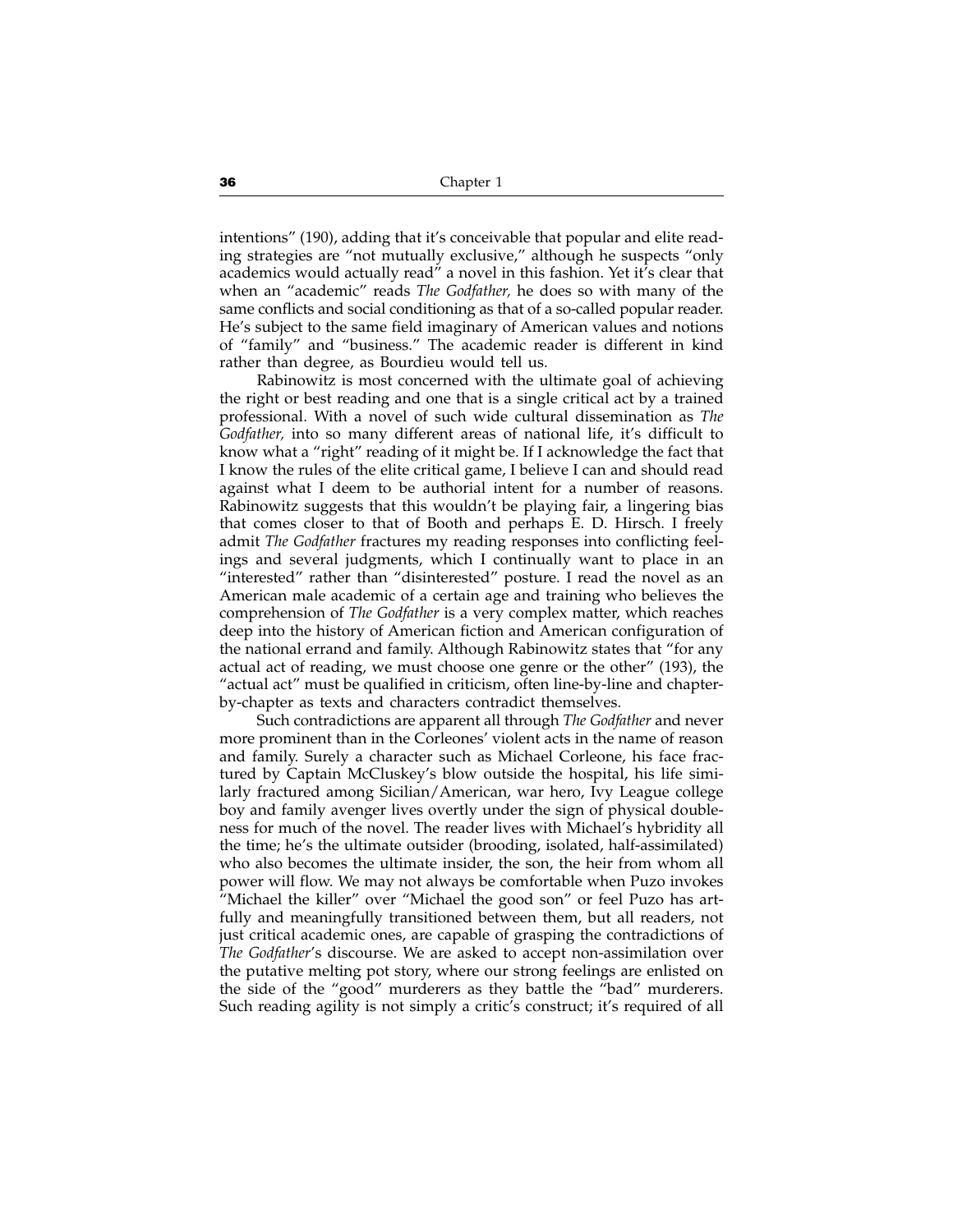intentions" (190), adding that it's conceivable that popular and elite reading strategies are "not mutually exclusive," although he suspects "only academics would actually read" a novel in this fashion. Yet it's clear that when an "academic" reads *The Godfather,* he does so with many of the same conflicts and social conditioning as that of a so-called popular reader. He's subject to the same field imaginary of American values and notions of "family" and "business." The academic reader is different in kind rather than degree, as Bourdieu would tell us.

Rabinowitz is most concerned with the ultimate goal of achieving the right or best reading and one that is a single critical act by a trained professional. With a novel of such wide cultural dissemination as *The Godfather,* into so many different areas of national life, it's difficult to know what a "right" reading of it might be. If I acknowledge the fact that I know the rules of the elite critical game, I believe I can and should read against what I deem to be authorial intent for a number of reasons. Rabinowitz suggests that this wouldn't be playing fair, a lingering bias that comes closer to that of Booth and perhaps E. D. Hirsch. I freely admit *The Godfather* fractures my reading responses into conflicting feelings and several judgments, which I continually want to place in an "interested" rather than "disinterested" posture. I read the novel as an American male academic of a certain age and training who believes the comprehension of *The Godfather* is a very complex matter, which reaches deep into the history of American fiction and American configuration of the national errand and family. Although Rabinowitz states that "for any actual act of reading, we must choose one genre or the other" (193), the "actual act" must be qualified in criticism, often line-by-line and chapterby-chapter as texts and characters contradict themselves.

Such contradictions are apparent all through *The Godfather* and never more prominent than in the Corleones' violent acts in the name of reason and family. Surely a character such as Michael Corleone, his face fractured by Captain McCluskey's blow outside the hospital, his life similarly fractured among Sicilian/American, war hero, Ivy League college boy and family avenger lives overtly under the sign of physical doubleness for much of the novel. The reader lives with Michael's hybridity all the time; he's the ultimate outsider (brooding, isolated, half-assimilated) who also becomes the ultimate insider, the son, the heir from whom all power will flow. We may not always be comfortable when Puzo invokes "Michael the killer" over "Michael the good son" or feel Puzo has artfully and meaningfully transitioned between them, but all readers, not just critical academic ones, are capable of grasping the contradictions of *The Godfather*'s discourse. We are asked to accept non-assimilation over the putative melting pot story, where our strong feelings are enlisted on the side of the "good" murderers as they battle the "bad" murderers. Such reading agility is not simply a critic's construct; it's required of all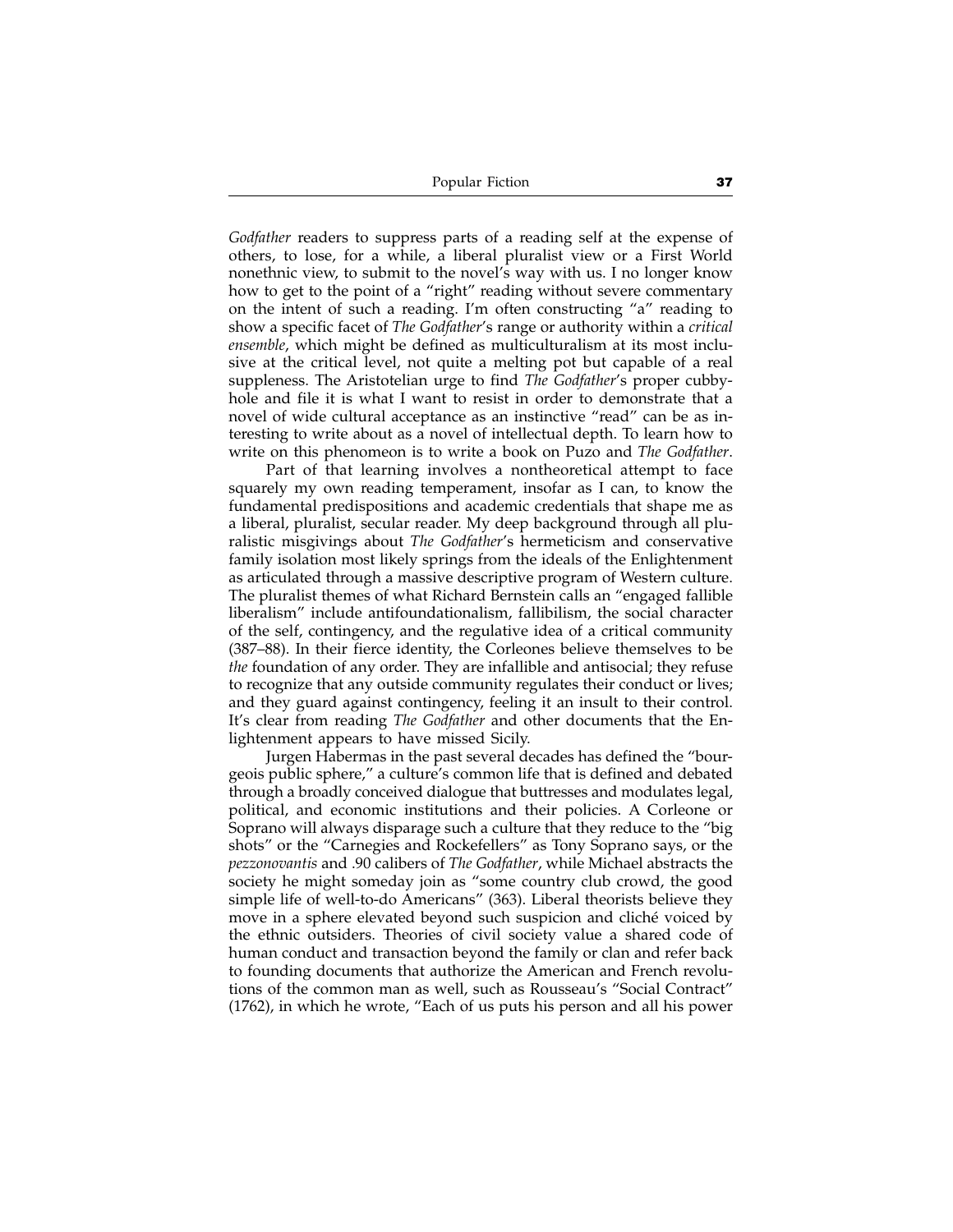*Godfather* readers to suppress parts of a reading self at the expense of others, to lose, for a while, a liberal pluralist view or a First World nonethnic view, to submit to the novel's way with us. I no longer know how to get to the point of a "right" reading without severe commentary on the intent of such a reading. I'm often constructing "a" reading to show a specific facet of *The Godfather*'s range or authority within a *critical ensemble*, which might be defined as multiculturalism at its most inclusive at the critical level, not quite a melting pot but capable of a real suppleness. The Aristotelian urge to find *The Godfather*'s proper cubbyhole and file it is what I want to resist in order to demonstrate that a novel of wide cultural acceptance as an instinctive "read" can be as interesting to write about as a novel of intellectual depth. To learn how to write on this phenomeon is to write a book on Puzo and *The Godfather*.

Part of that learning involves a nontheoretical attempt to face squarely my own reading temperament, insofar as I can, to know the fundamental predispositions and academic credentials that shape me as a liberal, pluralist, secular reader. My deep background through all pluralistic misgivings about *The Godfather*'s hermeticism and conservative family isolation most likely springs from the ideals of the Enlightenment as articulated through a massive descriptive program of Western culture. The pluralist themes of what Richard Bernstein calls an "engaged fallible liberalism" include antifoundationalism, fallibilism, the social character of the self, contingency, and the regulative idea of a critical community (387–88). In their fierce identity, the Corleones believe themselves to be *the* foundation of any order. They are infallible and antisocial; they refuse to recognize that any outside community regulates their conduct or lives; and they guard against contingency, feeling it an insult to their control. It's clear from reading *The Godfather* and other documents that the Enlightenment appears to have missed Sicily.

Jurgen Habermas in the past several decades has defined the "bourgeois public sphere," a culture's common life that is defined and debated through a broadly conceived dialogue that buttresses and modulates legal, political, and economic institutions and their policies. A Corleone or Soprano will always disparage such a culture that they reduce to the "big shots" or the "Carnegies and Rockefellers" as Tony Soprano says, or the *pezzonovantis* and .90 calibers of *The Godfather*, while Michael abstracts the society he might someday join as "some country club crowd, the good simple life of well-to-do Americans" (363). Liberal theorists believe they move in a sphere elevated beyond such suspicion and cliché voiced by the ethnic outsiders. Theories of civil society value a shared code of human conduct and transaction beyond the family or clan and refer back to founding documents that authorize the American and French revolutions of the common man as well, such as Rousseau's "Social Contract" (1762), in which he wrote, "Each of us puts his person and all his power